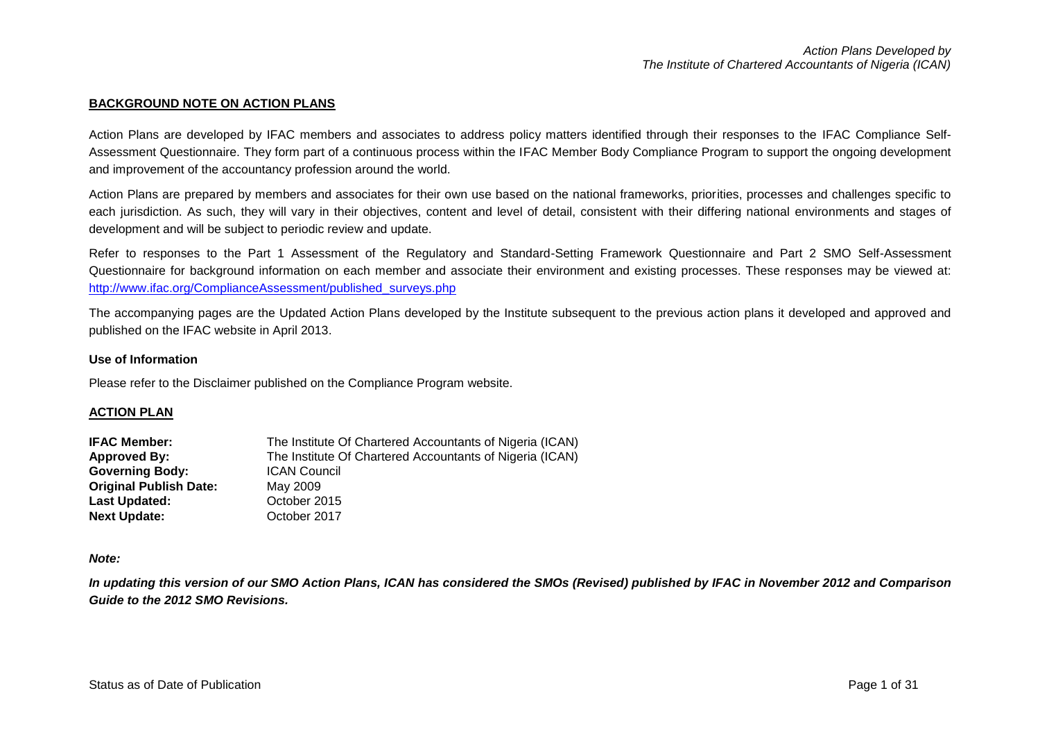#### **BACKGROUND NOTE ON ACTION PLANS**

Action Plans are developed by IFAC members and associates to address policy matters identified through their responses to the IFAC Compliance Self-Assessment Questionnaire. They form part of a continuous process within the IFAC Member Body Compliance Program to support the ongoing development and improvement of the accountancy profession around the world.

Action Plans are prepared by members and associates for their own use based on the national frameworks, priorities, processes and challenges specific to each jurisdiction. As such, they will vary in their objectives, content and level of detail, consistent with their differing national environments and stages of development and will be subject to periodic review and update.

Refer to responses to the Part 1 Assessment of the Regulatory and Standard-Setting Framework Questionnaire and Part 2 SMO Self-Assessment Questionnaire for background information on each member and associate their environment and existing processes. These responses may be viewed at: [http://www.ifac.org/ComplianceAssessment/published\\_surveys.php](http://www.ifac.org/ComplianceAssessment/published_surveys.php)

The accompanying pages are the Updated Action Plans developed by the Institute subsequent to the previous action plans it developed and approved and published on the IFAC website in April 2013.

#### **Use of Information**

Please refer to the Disclaimer published on the Compliance Program website.

#### **ACTION PLAN**

| <b>IFAC Member:</b>           | The Institute Of Chartered Accountants of Nigeria (ICAN) |
|-------------------------------|----------------------------------------------------------|
| <b>Approved By:</b>           | The Institute Of Chartered Accountants of Nigeria (ICAN) |
| <b>Governing Body:</b>        | <b>ICAN Council</b>                                      |
| <b>Original Publish Date:</b> | May 2009                                                 |
| Last Updated:                 | October 2015                                             |
| <b>Next Update:</b>           | October 2017                                             |

#### *Note:*

*In updating this version of our SMO Action Plans, ICAN has considered the SMOs (Revised) published by IFAC in November 2012 and Comparison Guide to the 2012 SMO Revisions.*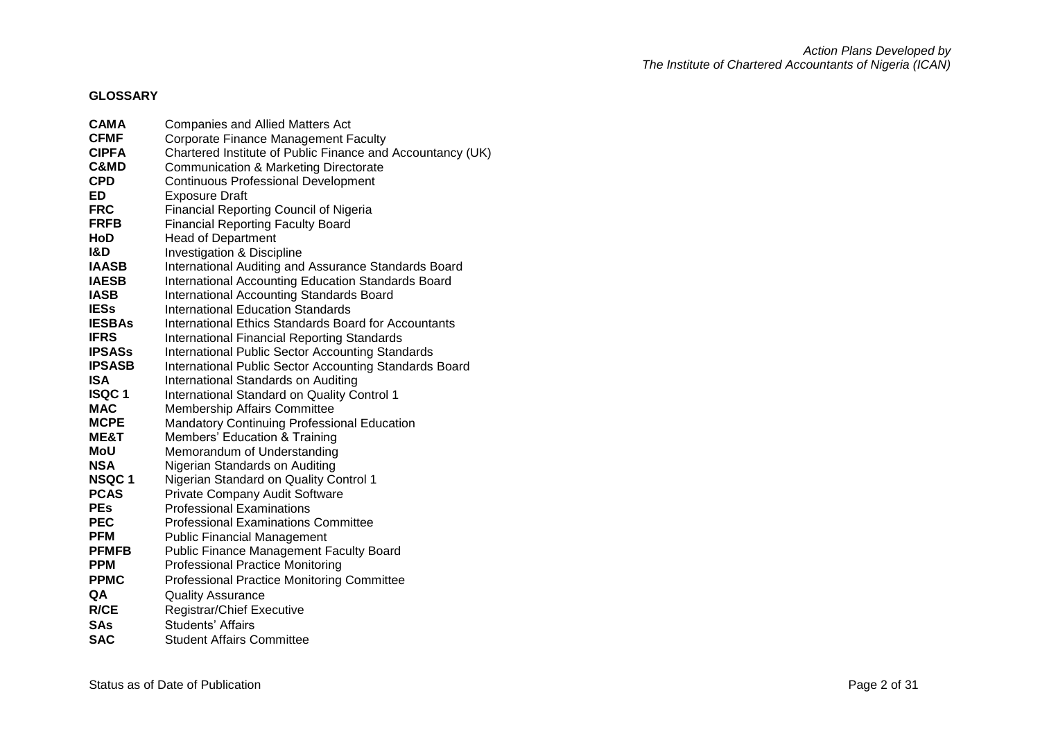# **GLOSSARY**

| <b>CAMA</b>    | <b>Companies and Allied Matters Act</b>                    |
|----------------|------------------------------------------------------------|
| <b>CFMF</b>    | <b>Corporate Finance Management Faculty</b>                |
| <b>CIPFA</b>   | Chartered Institute of Public Finance and Accountancy (UK) |
| C&MD           | Communication & Marketing Directorate                      |
| <b>CPD</b>     | <b>Continuous Professional Development</b>                 |
| ED             | <b>Exposure Draft</b>                                      |
| <b>FRC</b>     | <b>Financial Reporting Council of Nigeria</b>              |
| <b>FRFB</b>    | <b>Financial Reporting Faculty Board</b>                   |
| HoD            | <b>Head of Department</b>                                  |
| <b>I&amp;D</b> | Investigation & Discipline                                 |
| <b>IAASB</b>   | International Auditing and Assurance Standards Board       |
| <b>IAESB</b>   | International Accounting Education Standards Board         |
| <b>IASB</b>    | <b>International Accounting Standards Board</b>            |
| <b>IESs</b>    | <b>International Education Standards</b>                   |
| <b>IESBAs</b>  | International Ethics Standards Board for Accountants       |
| <b>IFRS</b>    | <b>International Financial Reporting Standards</b>         |
| <b>IPSASs</b>  | <b>International Public Sector Accounting Standards</b>    |
| <b>IPSASB</b>  | International Public Sector Accounting Standards Board     |
| <b>ISA</b>     | International Standards on Auditing                        |
| <b>ISQC1</b>   | <b>International Standard on Quality Control 1</b>         |
| <b>MAC</b>     | <b>Membership Affairs Committee</b>                        |
| <b>MCPE</b>    | <b>Mandatory Continuing Professional Education</b>         |
| ME&T           | Members' Education & Training                              |
| MoU            | Memorandum of Understanding                                |
| <b>NSA</b>     | Nigerian Standards on Auditing                             |
| NSQC 1         | Nigerian Standard on Quality Control 1                     |
| <b>PCAS</b>    | Private Company Audit Software                             |
| <b>PEs</b>     | <b>Professional Examinations</b>                           |
| <b>PEC</b>     | <b>Professional Examinations Committee</b>                 |
| <b>PFM</b>     | <b>Public Financial Management</b>                         |
| <b>PFMFB</b>   | <b>Public Finance Management Faculty Board</b>             |
| <b>PPM</b>     | <b>Professional Practice Monitoring</b>                    |
| <b>PPMC</b>    | <b>Professional Practice Monitoring Committee</b>          |
| QA             | <b>Quality Assurance</b>                                   |
| R/CE           | <b>Registrar/Chief Executive</b>                           |
| <b>SAs</b>     | <b>Students' Affairs</b>                                   |
| <b>SAC</b>     | <b>Student Affairs Committee</b>                           |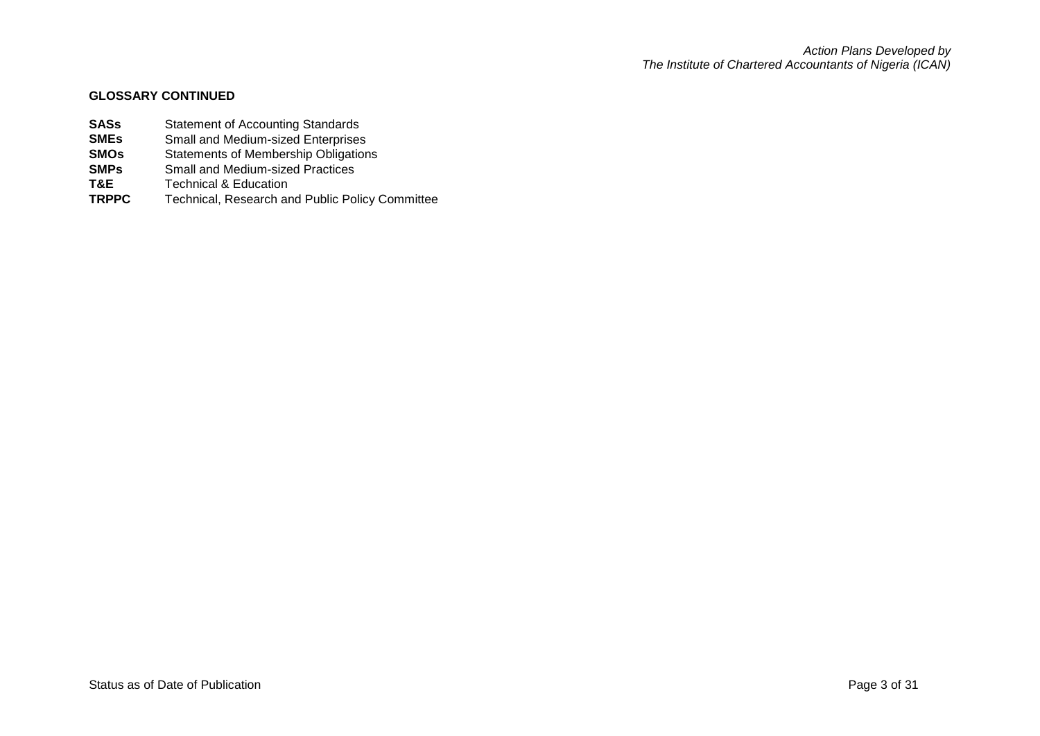## **GLOSSARY CONTINUED**

- **SASs** Statement of Accounting Standards<br> **SMEs** Small and Medium-sized Enterprises
- **SMEs** Small and Medium-sized Enterprises<br>**SMOs** Statements of Membership Obligation
- **SMOs** Statements of Membership Obligations<br> **SMPs** Small and Medium-sized Practices
- **SMPs** Small and Medium-sized Practices<br> **T&E** Technical & Education
- **T&E Technical & Education**<br>**TRPPC Technical.** Research are
- Technical, Research and Public Policy Committee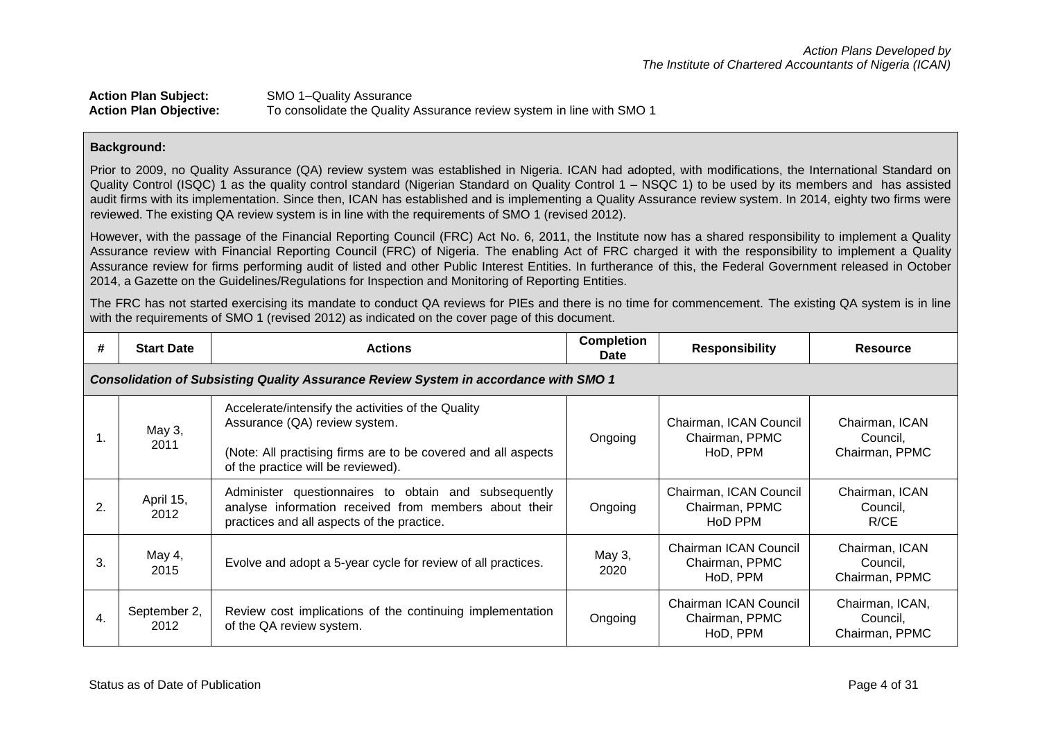# **Action Plan Subject:** SMO 1–Quality Assurance **Action Plan Objective:** To consolidate the Quality Assurance review system in line with SMO 1

## **Background:**

Prior to 2009, no Quality Assurance (QA) review system was established in Nigeria. ICAN had adopted, with modifications, the International Standard on Quality Control (ISQC) 1 as the quality control standard (Nigerian Standard on Quality Control 1 – NSQC 1) to be used by its members and has assisted audit firms with its implementation. Since then, ICAN has established and is implementing a Quality Assurance review system. In 2014, eighty two firms were reviewed. The existing QA review system is in line with the requirements of SMO 1 (revised 2012).

However, with the passage of the Financial Reporting Council (FRC) Act No. 6, 2011, the Institute now has a shared responsibility to implement a Quality Assurance review with Financial Reporting Council (FRC) of Nigeria. The enabling Act of FRC charged it with the responsibility to implement a Quality Assurance review for firms performing audit of listed and other Public Interest Entities. In furtherance of this, the Federal Government released in October 2014, a Gazette on the Guidelines/Regulations for Inspection and Monitoring of Reporting Entities.

The FRC has not started exercising its mandate to conduct QA reviews for PIEs and there is no time for commencement. The existing QA system is in line with the requirements of SMO 1 (revised 2012) as indicated on the cover page of this document.

| #  | <b>Start Date</b>                                                                    | <b>Actions</b>                                                                                                                                                                             | <b>Completion</b><br><b>Date</b> | <b>Responsibility</b>                                | <b>Resource</b>                               |  |  |
|----|--------------------------------------------------------------------------------------|--------------------------------------------------------------------------------------------------------------------------------------------------------------------------------------------|----------------------------------|------------------------------------------------------|-----------------------------------------------|--|--|
|    | Consolidation of Subsisting Quality Assurance Review System in accordance with SMO 1 |                                                                                                                                                                                            |                                  |                                                      |                                               |  |  |
| л. | May 3,<br>2011                                                                       | Accelerate/intensify the activities of the Quality<br>Assurance (QA) review system.<br>(Note: All practising firms are to be covered and all aspects<br>of the practice will be reviewed). | Ongoing                          | Chairman, ICAN Council<br>Chairman, PPMC<br>HoD, PPM | Chairman, ICAN<br>Council,<br>Chairman, PPMC  |  |  |
| 2. | April 15,<br>2012                                                                    | Administer questionnaires to obtain and subsequently<br>analyse information received from members about their<br>practices and all aspects of the practice.                                | Ongoing                          | Chairman, ICAN Council<br>Chairman, PPMC<br>HoD PPM  | Chairman, ICAN<br>Council,<br>R/CE            |  |  |
| 3. | May 4,<br>2015                                                                       | Evolve and adopt a 5-year cycle for review of all practices.                                                                                                                               | May 3,<br>2020                   | Chairman ICAN Council<br>Chairman, PPMC<br>HoD, PPM  | Chairman, ICAN<br>Council,<br>Chairman, PPMC  |  |  |
| 4. | September 2,<br>2012                                                                 | Review cost implications of the continuing implementation<br>of the QA review system.                                                                                                      | Ongoing                          | Chairman ICAN Council<br>Chairman, PPMC<br>HoD, PPM  | Chairman, ICAN,<br>Council.<br>Chairman, PPMC |  |  |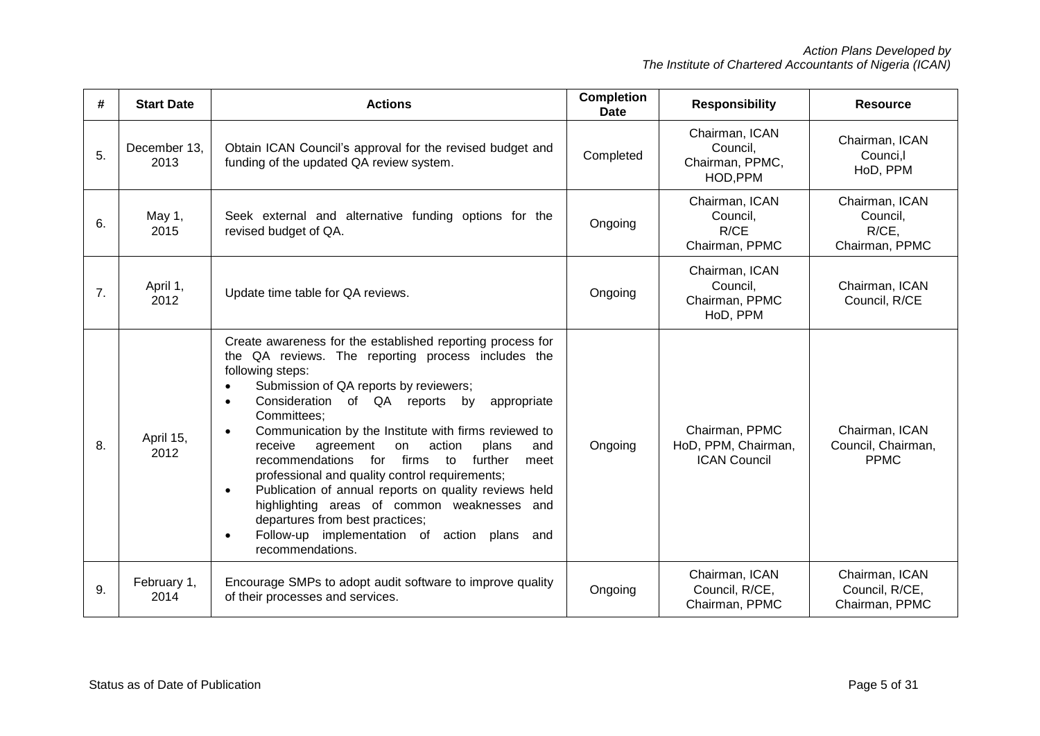| #  | <b>Start Date</b>    | <b>Actions</b>                                                                                                                                                                                                                                                                                                                                                                                                                                                                                                                                                                                                                                                                                                                                                            | <b>Completion</b><br><b>Date</b> | <b>Responsibility</b>                                        | <b>Resource</b>                                       |
|----|----------------------|---------------------------------------------------------------------------------------------------------------------------------------------------------------------------------------------------------------------------------------------------------------------------------------------------------------------------------------------------------------------------------------------------------------------------------------------------------------------------------------------------------------------------------------------------------------------------------------------------------------------------------------------------------------------------------------------------------------------------------------------------------------------------|----------------------------------|--------------------------------------------------------------|-------------------------------------------------------|
| 5. | December 13,<br>2013 | Obtain ICAN Council's approval for the revised budget and<br>funding of the updated QA review system.                                                                                                                                                                                                                                                                                                                                                                                                                                                                                                                                                                                                                                                                     | Completed                        | Chairman, ICAN<br>Council,<br>Chairman, PPMC,<br>HOD, PPM    | Chairman, ICAN<br>Counci,l<br>HoD, PPM                |
| 6. | May 1,<br>2015       | Seek external and alternative funding options for the<br>revised budget of QA.                                                                                                                                                                                                                                                                                                                                                                                                                                                                                                                                                                                                                                                                                            | Ongoing                          | Chairman, ICAN<br>Council,<br>R/CE<br>Chairman, PPMC         | Chairman, ICAN<br>Council,<br>R/CE,<br>Chairman, PPMC |
| 7. | April 1,<br>2012     | Update time table for QA reviews.                                                                                                                                                                                                                                                                                                                                                                                                                                                                                                                                                                                                                                                                                                                                         | Ongoing                          | Chairman, ICAN<br>Council,<br>Chairman, PPMC<br>HoD, PPM     | Chairman, ICAN<br>Council, R/CE                       |
| 8. | April 15,<br>2012    | Create awareness for the established reporting process for<br>the QA reviews. The reporting process includes the<br>following steps:<br>Submission of QA reports by reviewers;<br>$\bullet$<br>Consideration of QA reports by<br>appropriate<br>$\bullet$<br>Committees;<br>Communication by the Institute with firms reviewed to<br>$\bullet$<br>action<br>receive<br>plans<br>and<br>agreement<br>on<br>recommendations<br>firms<br>for<br>$\overline{a}$<br>further<br>meet<br>professional and quality control requirements;<br>Publication of annual reports on quality reviews held<br>$\bullet$<br>highlighting areas of common weaknesses and<br>departures from best practices;<br>Follow-up implementation of action plans and<br>$\bullet$<br>recommendations. | Ongoing                          | Chairman, PPMC<br>HoD, PPM, Chairman,<br><b>ICAN Council</b> | Chairman, ICAN<br>Council, Chairman,<br><b>PPMC</b>   |
| 9. | February 1,<br>2014  | Encourage SMPs to adopt audit software to improve quality<br>of their processes and services.                                                                                                                                                                                                                                                                                                                                                                                                                                                                                                                                                                                                                                                                             | Ongoing                          | Chairman, ICAN<br>Council, R/CE,<br>Chairman, PPMC           | Chairman, ICAN<br>Council, R/CE,<br>Chairman, PPMC    |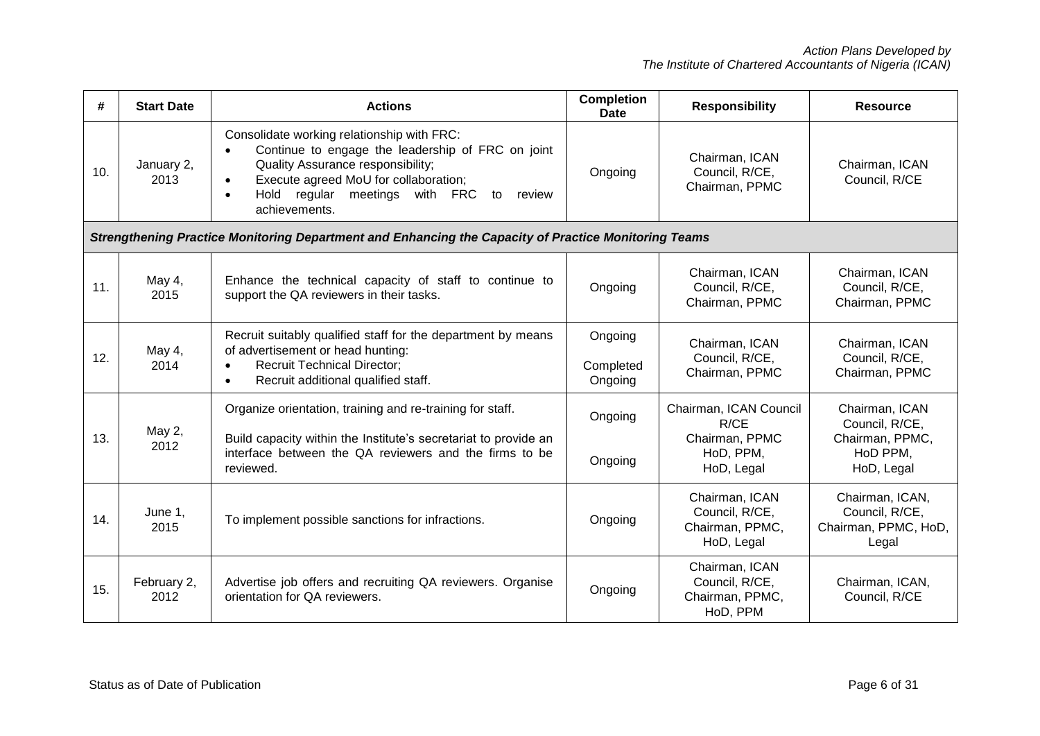| #   | <b>Start Date</b>   | <b>Actions</b>                                                                                                                                                                                                                                                                          | <b>Completion</b><br><b>Date</b> | <b>Responsibility</b>                                                       | <b>Resource</b>                                                               |
|-----|---------------------|-----------------------------------------------------------------------------------------------------------------------------------------------------------------------------------------------------------------------------------------------------------------------------------------|----------------------------------|-----------------------------------------------------------------------------|-------------------------------------------------------------------------------|
| 10. | January 2,<br>2013  | Consolidate working relationship with FRC:<br>Continue to engage the leadership of FRC on joint<br>$\bullet$<br>Quality Assurance responsibility;<br>Execute agreed MoU for collaboration;<br>$\bullet$<br>Hold regular meetings with FRC<br>to<br>review<br>$\bullet$<br>achievements. | Ongoing                          | Chairman, ICAN<br>Council, R/CE,<br>Chairman, PPMC                          | Chairman, ICAN<br>Council, R/CE                                               |
|     |                     | Strengthening Practice Monitoring Department and Enhancing the Capacity of Practice Monitoring Teams                                                                                                                                                                                    |                                  |                                                                             |                                                                               |
| 11. | May 4,<br>2015      | Enhance the technical capacity of staff to continue to<br>support the QA reviewers in their tasks.                                                                                                                                                                                      | Ongoing                          | Chairman, ICAN<br>Council, R/CE,<br>Chairman, PPMC                          | Chairman, ICAN<br>Council, R/CE,<br>Chairman, PPMC                            |
| 12. | May 4,<br>2014      | Recruit suitably qualified staff for the department by means<br>of advertisement or head hunting:<br><b>Recruit Technical Director;</b><br>$\bullet$<br>Recruit additional qualified staff.<br>$\bullet$                                                                                | Ongoing<br>Completed<br>Ongoing  | Chairman, ICAN<br>Council, R/CE,<br>Chairman, PPMC                          | Chairman, ICAN<br>Council, R/CE,<br>Chairman, PPMC                            |
| 13. | May 2,<br>2012      | Organize orientation, training and re-training for staff.<br>Build capacity within the Institute's secretariat to provide an<br>interface between the QA reviewers and the firms to be<br>reviewed.                                                                                     | Ongoing<br>Ongoing               | Chairman, ICAN Council<br>R/CE<br>Chairman, PPMC<br>HoD, PPM,<br>HoD, Legal | Chairman, ICAN<br>Council, R/CE,<br>Chairman, PPMC,<br>HoD PPM,<br>HoD, Legal |
| 14. | June 1,<br>2015     | To implement possible sanctions for infractions.                                                                                                                                                                                                                                        | Ongoing                          | Chairman, ICAN<br>Council, R/CE,<br>Chairman, PPMC,<br>HoD, Legal           | Chairman, ICAN,<br>Council, R/CE,<br>Chairman, PPMC, HoD,<br>Legal            |
| 15. | February 2,<br>2012 | Advertise job offers and recruiting QA reviewers. Organise<br>orientation for QA reviewers.                                                                                                                                                                                             | Ongoing                          | Chairman, ICAN<br>Council, R/CE,<br>Chairman, PPMC,<br>HoD, PPM             | Chairman, ICAN,<br>Council, R/CE                                              |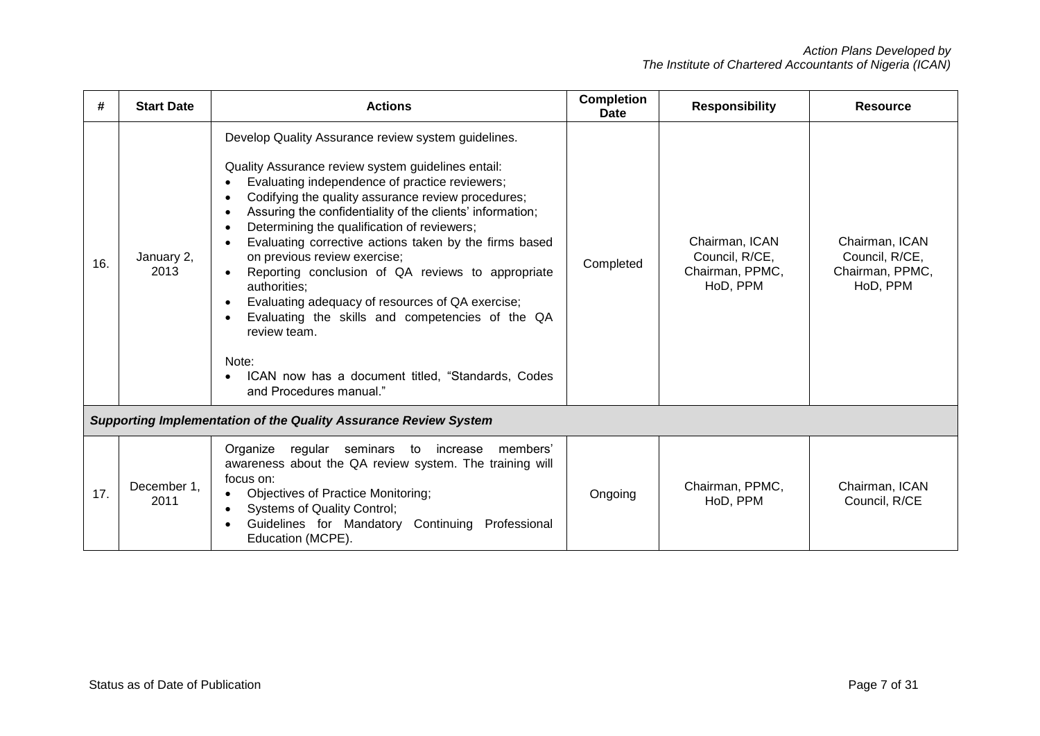| #   | <b>Start Date</b>   | <b>Actions</b>                                                                                                                                                                                                                                                                                                                                                                                                                                                                                                                                                                                                                                                                                                                                                                              | <b>Completion</b><br>Date | <b>Responsibility</b>                                           | <b>Resource</b>                                                 |
|-----|---------------------|---------------------------------------------------------------------------------------------------------------------------------------------------------------------------------------------------------------------------------------------------------------------------------------------------------------------------------------------------------------------------------------------------------------------------------------------------------------------------------------------------------------------------------------------------------------------------------------------------------------------------------------------------------------------------------------------------------------------------------------------------------------------------------------------|---------------------------|-----------------------------------------------------------------|-----------------------------------------------------------------|
| 16. | January 2,<br>2013  | Develop Quality Assurance review system guidelines.<br>Quality Assurance review system guidelines entail:<br>Evaluating independence of practice reviewers;<br>Codifying the quality assurance review procedures;<br>$\bullet$<br>Assuring the confidentiality of the clients' information;<br>$\bullet$<br>Determining the qualification of reviewers;<br>$\bullet$<br>Evaluating corrective actions taken by the firms based<br>on previous review exercise;<br>Reporting conclusion of QA reviews to appropriate<br>$\bullet$<br>authorities:<br>Evaluating adequacy of resources of QA exercise;<br>$\bullet$<br>Evaluating the skills and competencies of the QA<br>$\bullet$<br>review team.<br>Note:<br>ICAN now has a document titled, "Standards, Codes<br>and Procedures manual." | Completed                 | Chairman, ICAN<br>Council, R/CE,<br>Chairman, PPMC,<br>HoD, PPM | Chairman, ICAN<br>Council, R/CE,<br>Chairman, PPMC,<br>HoD, PPM |
|     |                     | <b>Supporting Implementation of the Quality Assurance Review System</b>                                                                                                                                                                                                                                                                                                                                                                                                                                                                                                                                                                                                                                                                                                                     |                           |                                                                 |                                                                 |
| 17. | December 1,<br>2011 | regular seminars<br>Organize<br>members'<br>to increase<br>awareness about the QA review system. The training will<br>focus on:<br><b>Objectives of Practice Monitoring;</b><br><b>Systems of Quality Control;</b><br>$\bullet$<br>Guidelines for Mandatory Continuing Professional<br>$\bullet$<br>Education (MCPE).                                                                                                                                                                                                                                                                                                                                                                                                                                                                       | Ongoing                   | Chairman, PPMC,<br>HoD, PPM                                     | Chairman, ICAN<br>Council, R/CE                                 |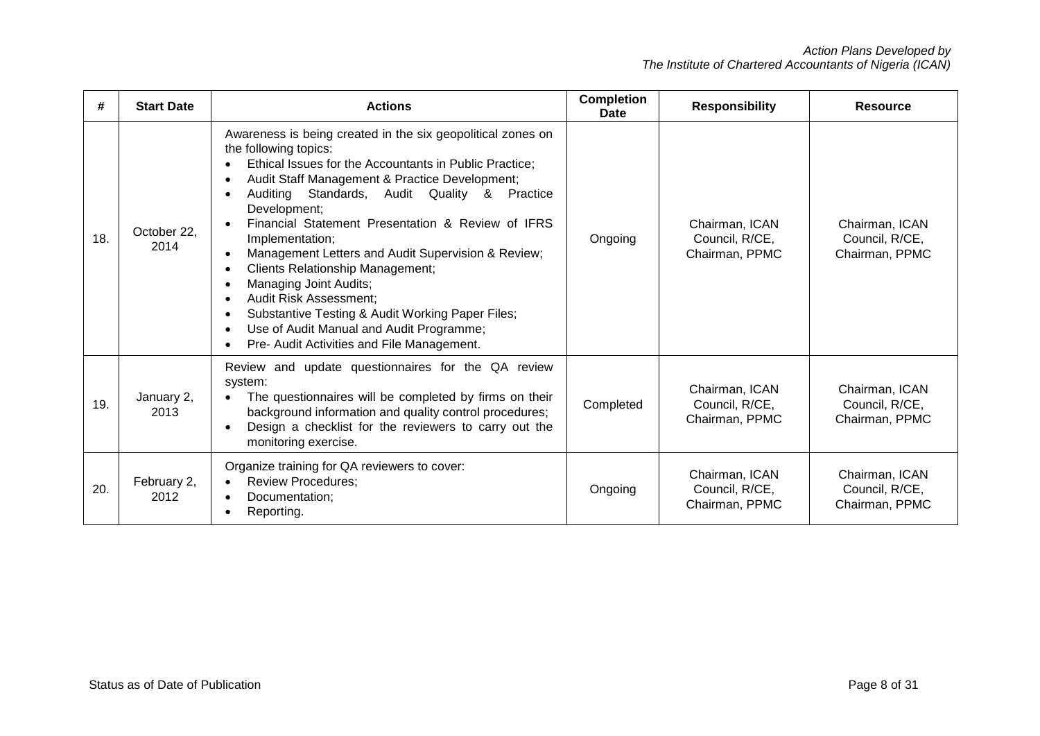| #   | <b>Start Date</b>   | <b>Actions</b>                                                                                                                                                                                                                                                                                                                                                                                                                                                                                                                                                                                                                                                                                                                 | <b>Completion</b><br><b>Date</b> | <b>Responsibility</b>                              | <b>Resource</b>                                    |
|-----|---------------------|--------------------------------------------------------------------------------------------------------------------------------------------------------------------------------------------------------------------------------------------------------------------------------------------------------------------------------------------------------------------------------------------------------------------------------------------------------------------------------------------------------------------------------------------------------------------------------------------------------------------------------------------------------------------------------------------------------------------------------|----------------------------------|----------------------------------------------------|----------------------------------------------------|
| 18. | October 22.<br>2014 | Awareness is being created in the six geopolitical zones on<br>the following topics:<br>Ethical Issues for the Accountants in Public Practice;<br>Audit Staff Management & Practice Development;<br>$\bullet$<br>Standards, Audit Quality &<br>Practice<br>Auditina<br>$\bullet$<br>Development;<br>Financial Statement Presentation & Review of IFRS<br>Implementation;<br>Management Letters and Audit Supervision & Review;<br>$\bullet$<br><b>Clients Relationship Management;</b><br>$\bullet$<br>Managing Joint Audits;<br>$\bullet$<br><b>Audit Risk Assessment:</b><br>Substantive Testing & Audit Working Paper Files;<br>٠<br>Use of Audit Manual and Audit Programme;<br>Pre- Audit Activities and File Management. | Ongoing                          | Chairman, ICAN<br>Council, R/CE,<br>Chairman, PPMC | Chairman, ICAN<br>Council, R/CE,<br>Chairman, PPMC |
| 19. | January 2,<br>2013  | Review and update questionnaires for the QA review<br>system:<br>The questionnaires will be completed by firms on their<br>background information and quality control procedures;<br>Design a checklist for the reviewers to carry out the<br>monitoring exercise.                                                                                                                                                                                                                                                                                                                                                                                                                                                             | Completed                        | Chairman, ICAN<br>Council, R/CE,<br>Chairman, PPMC | Chairman, ICAN<br>Council, R/CE,<br>Chairman, PPMC |
| 20. | February 2,<br>2012 | Organize training for QA reviewers to cover:<br><b>Review Procedures:</b><br>$\bullet$<br>Documentation:<br>Reporting.<br>$\bullet$                                                                                                                                                                                                                                                                                                                                                                                                                                                                                                                                                                                            | Ongoing                          | Chairman, ICAN<br>Council, R/CE,<br>Chairman, PPMC | Chairman, ICAN<br>Council, R/CE,<br>Chairman, PPMC |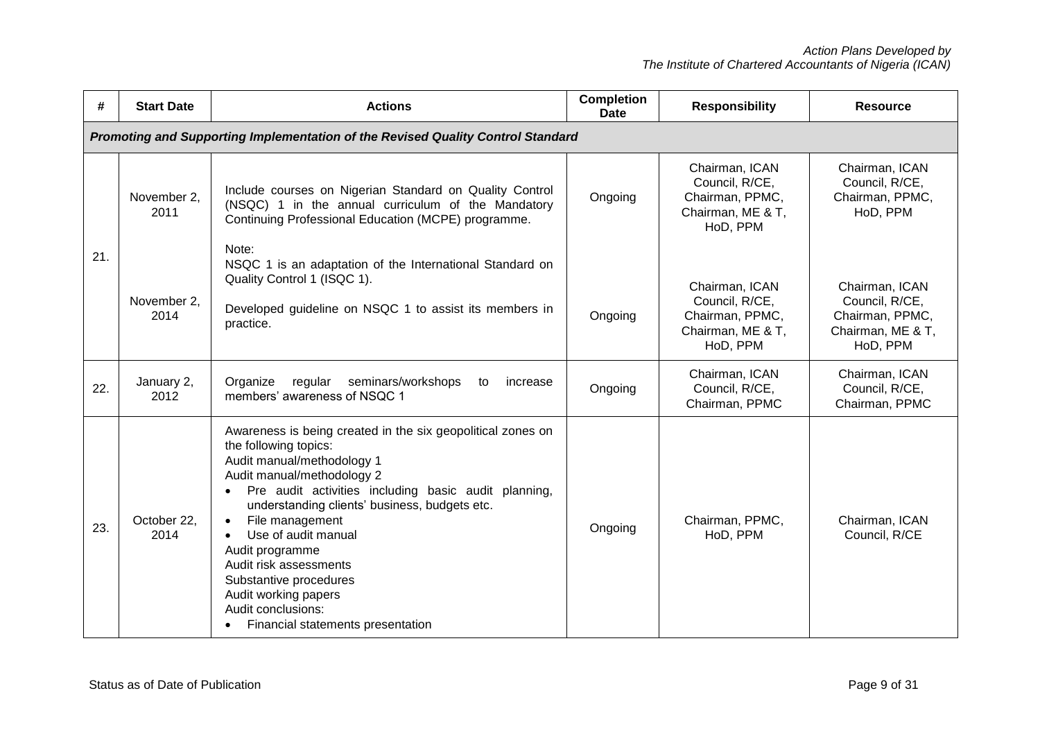| #   | <b>Start Date</b>                                                               | <b>Actions</b>                                                                                                                                                                                                                                                                                                                                                                                                                                                             | <b>Completion</b><br><b>Date</b> | <b>Responsibility</b>                                                                | <b>Resource</b>                                                                      |  |  |
|-----|---------------------------------------------------------------------------------|----------------------------------------------------------------------------------------------------------------------------------------------------------------------------------------------------------------------------------------------------------------------------------------------------------------------------------------------------------------------------------------------------------------------------------------------------------------------------|----------------------------------|--------------------------------------------------------------------------------------|--------------------------------------------------------------------------------------|--|--|
|     | Promoting and Supporting Implementation of the Revised Quality Control Standard |                                                                                                                                                                                                                                                                                                                                                                                                                                                                            |                                  |                                                                                      |                                                                                      |  |  |
| 21. | November 2,<br>2011                                                             | Include courses on Nigerian Standard on Quality Control<br>(NSQC) 1 in the annual curriculum of the Mandatory<br>Continuing Professional Education (MCPE) programme.<br>Note:                                                                                                                                                                                                                                                                                              | Ongoing                          | Chairman, ICAN<br>Council, R/CE,<br>Chairman, PPMC,<br>Chairman, ME & T,<br>HoD, PPM | Chairman, ICAN<br>Council, R/CE,<br>Chairman, PPMC,<br>HoD, PPM                      |  |  |
|     | November 2,<br>2014                                                             | NSQC 1 is an adaptation of the International Standard on<br>Quality Control 1 (ISQC 1).<br>Developed guideline on NSQC 1 to assist its members in<br>practice.                                                                                                                                                                                                                                                                                                             | Ongoing                          | Chairman, ICAN<br>Council, R/CE,<br>Chairman, PPMC,<br>Chairman, ME & T,<br>HoD, PPM | Chairman, ICAN<br>Council, R/CE,<br>Chairman, PPMC,<br>Chairman, ME & T,<br>HoD, PPM |  |  |
| 22. | January 2,<br>2012                                                              | Organize<br>regular seminars/workshops<br>to<br>increase<br>members' awareness of NSQC 1                                                                                                                                                                                                                                                                                                                                                                                   | Ongoing                          | Chairman, ICAN<br>Council, R/CE,<br>Chairman, PPMC                                   | Chairman, ICAN<br>Council, R/CE,<br>Chairman, PPMC                                   |  |  |
| 23. | October 22,<br>2014                                                             | Awareness is being created in the six geopolitical zones on<br>the following topics:<br>Audit manual/methodology 1<br>Audit manual/methodology 2<br>Pre audit activities including basic audit planning,<br>understanding clients' business, budgets etc.<br>File management<br>$\bullet$<br>Use of audit manual<br>Audit programme<br>Audit risk assessments<br>Substantive procedures<br>Audit working papers<br>Audit conclusions:<br>Financial statements presentation | Ongoing                          | Chairman, PPMC,<br>HoD, PPM                                                          | Chairman, ICAN<br>Council, R/CE                                                      |  |  |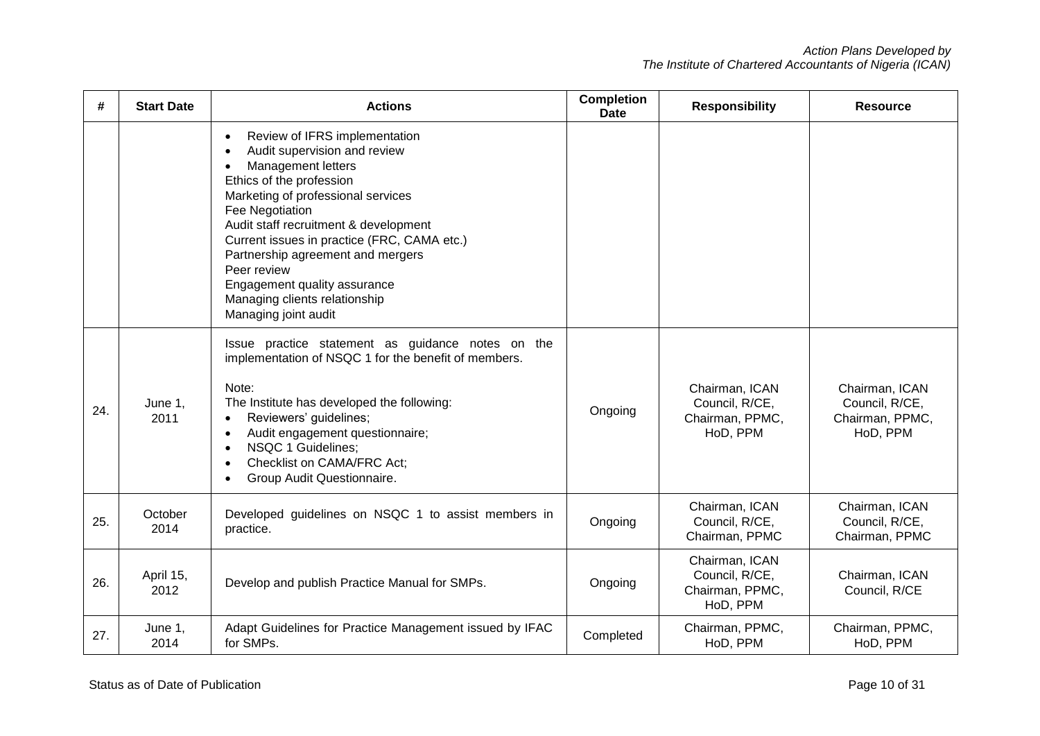| #   | <b>Start Date</b> | <b>Actions</b>                                                                                                                                                                                                                                                                                                                                                                                                                                      | <b>Completion</b><br><b>Date</b> | <b>Responsibility</b>                                           | <b>Resource</b>                                                 |
|-----|-------------------|-----------------------------------------------------------------------------------------------------------------------------------------------------------------------------------------------------------------------------------------------------------------------------------------------------------------------------------------------------------------------------------------------------------------------------------------------------|----------------------------------|-----------------------------------------------------------------|-----------------------------------------------------------------|
|     |                   | Review of IFRS implementation<br>$\bullet$<br>Audit supervision and review<br>٠<br><b>Management letters</b><br>$\bullet$<br>Ethics of the profession<br>Marketing of professional services<br>Fee Negotiation<br>Audit staff recruitment & development<br>Current issues in practice (FRC, CAMA etc.)<br>Partnership agreement and mergers<br>Peer review<br>Engagement quality assurance<br>Managing clients relationship<br>Managing joint audit |                                  |                                                                 |                                                                 |
| 24. | June 1,<br>2011   | Issue practice statement as guidance notes on the<br>implementation of NSQC 1 for the benefit of members.<br>Note:<br>The Institute has developed the following:<br>Reviewers' guidelines;<br>$\bullet$<br>Audit engagement questionnaire;<br>$\bullet$<br>NSQC 1 Guidelines:<br>$\bullet$<br>Checklist on CAMA/FRC Act;<br>Group Audit Questionnaire.<br>$\bullet$                                                                                 | Ongoing                          | Chairman, ICAN<br>Council, R/CE,<br>Chairman, PPMC,<br>HoD, PPM | Chairman, ICAN<br>Council, R/CE,<br>Chairman, PPMC,<br>HoD, PPM |
| 25. | October<br>2014   | Developed guidelines on NSQC 1 to assist members in<br>practice.                                                                                                                                                                                                                                                                                                                                                                                    | Ongoing                          | Chairman, ICAN<br>Council, R/CE,<br>Chairman, PPMC              | Chairman, ICAN<br>Council, R/CE,<br>Chairman, PPMC              |
| 26. | April 15,<br>2012 | Develop and publish Practice Manual for SMPs.                                                                                                                                                                                                                                                                                                                                                                                                       | Ongoing                          | Chairman, ICAN<br>Council, R/CE,<br>Chairman, PPMC,<br>HoD, PPM | Chairman, ICAN<br>Council, R/CE                                 |
| 27. | June 1,<br>2014   | Adapt Guidelines for Practice Management issued by IFAC<br>for SMPs.                                                                                                                                                                                                                                                                                                                                                                                | Completed                        | Chairman, PPMC,<br>HoD, PPM                                     | Chairman, PPMC,<br>HoD, PPM                                     |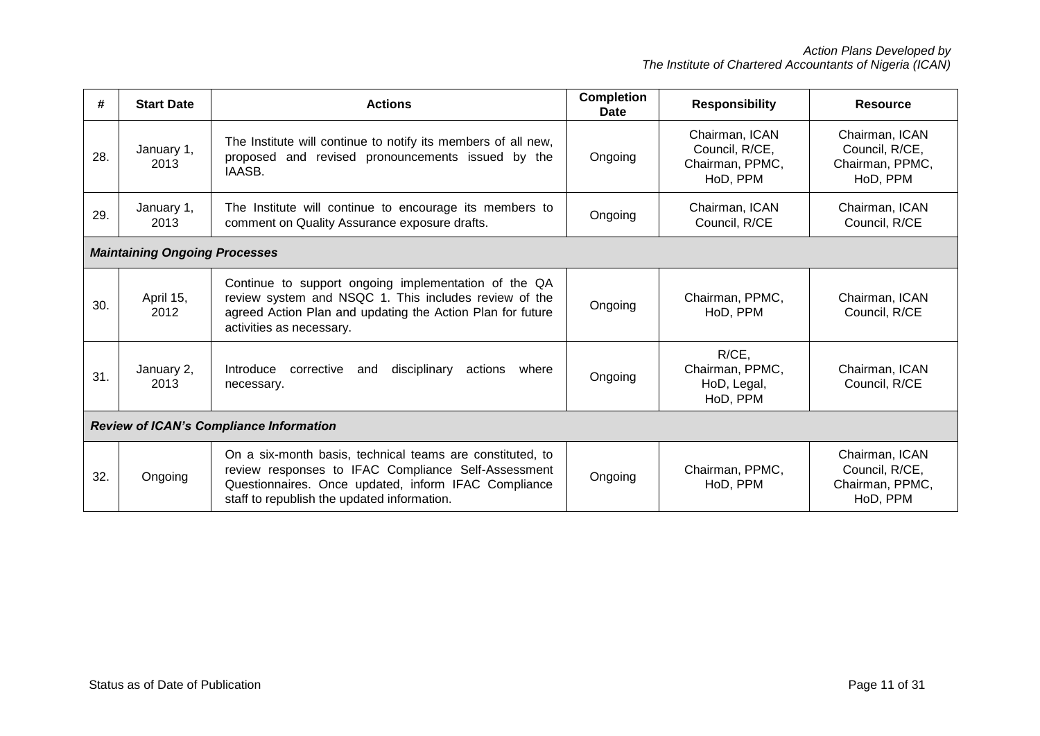| #                                              | <b>Start Date</b>                    | <b>Actions</b>                                                                                                                                                                                                          | <b>Completion</b><br>Date | <b>Responsibility</b>                                           | <b>Resource</b>                                                 |
|------------------------------------------------|--------------------------------------|-------------------------------------------------------------------------------------------------------------------------------------------------------------------------------------------------------------------------|---------------------------|-----------------------------------------------------------------|-----------------------------------------------------------------|
| 28.                                            | January 1,<br>2013                   | The Institute will continue to notify its members of all new,<br>proposed and revised pronouncements issued by the<br>IAASB.                                                                                            | Ongoing                   | Chairman, ICAN<br>Council, R/CE,<br>Chairman, PPMC,<br>HoD, PPM | Chairman, ICAN<br>Council, R/CE,<br>Chairman, PPMC,<br>HoD, PPM |
| 29.                                            | January 1,<br>2013                   | The Institute will continue to encourage its members to<br>comment on Quality Assurance exposure drafts.                                                                                                                | Ongoing                   | Chairman, ICAN<br>Council, R/CE                                 | Chairman, ICAN<br>Council, R/CE                                 |
|                                                | <b>Maintaining Ongoing Processes</b> |                                                                                                                                                                                                                         |                           |                                                                 |                                                                 |
| 30.                                            | April 15,<br>2012                    | Continue to support ongoing implementation of the QA<br>review system and NSQC 1. This includes review of the<br>agreed Action Plan and updating the Action Plan for future<br>activities as necessary.                 | Ongoing                   | Chairman, PPMC,<br>HoD, PPM                                     | Chairman, ICAN<br>Council, R/CE                                 |
| 31.                                            | January 2,<br>2013                   | disciplinary<br>Introduce<br>corrective<br>actions<br>where<br>and<br>necessary.                                                                                                                                        | Ongoing                   | $R/CE$ .<br>Chairman, PPMC,<br>HoD, Legal,<br>HoD, PPM          | Chairman, ICAN<br>Council, R/CE                                 |
| <b>Review of ICAN's Compliance Information</b> |                                      |                                                                                                                                                                                                                         |                           |                                                                 |                                                                 |
| 32.                                            | Ongoing                              | On a six-month basis, technical teams are constituted, to<br>review responses to IFAC Compliance Self-Assessment<br>Questionnaires. Once updated, inform IFAC Compliance<br>staff to republish the updated information. | Ongoing                   | Chairman, PPMC,<br>HoD, PPM                                     | Chairman, ICAN<br>Council, R/CE,<br>Chairman, PPMC,<br>HoD, PPM |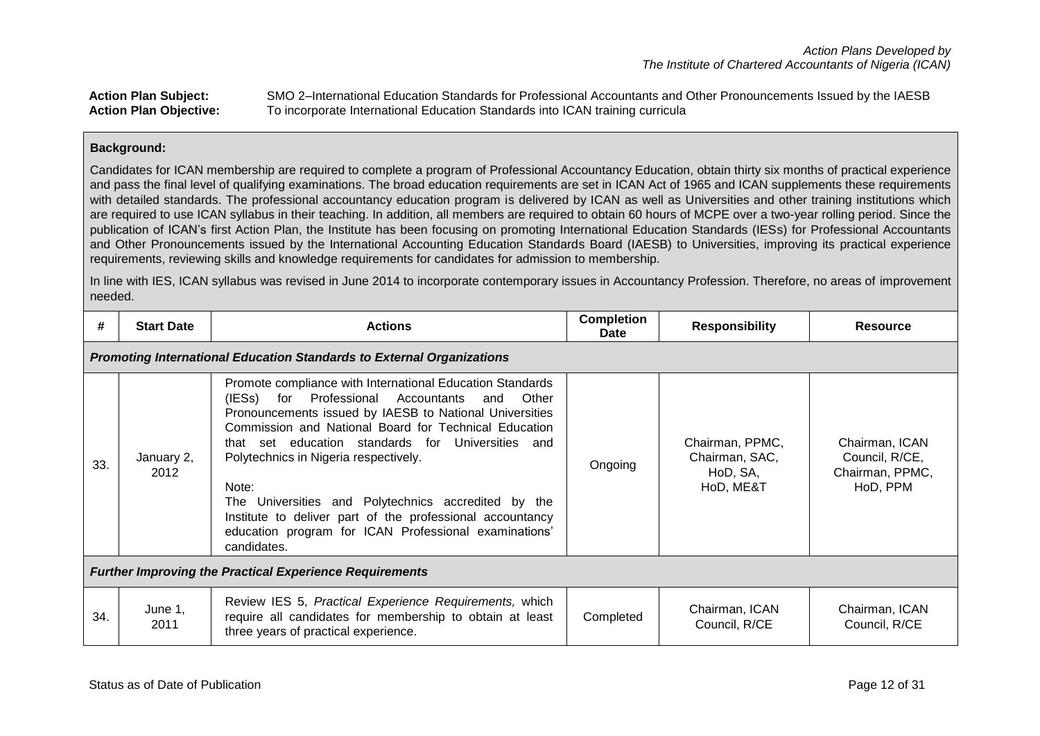# **Action Plan Subject:** SMO 2–International Education Standards for Professional Accountants and Other Pronouncements Issued by the IAESB **Action Plan Objective:** To incorporate International Education Standards into ICAN training curricula

## **Background:**

Candidates for ICAN membership are required to complete a program of Professional Accountancy Education, obtain thirty six months of practical experience and pass the final level of qualifying examinations. The broad education requirements are set in ICAN Act of 1965 and ICAN supplements these requirements with detailed standards. The professional accountancy education program is delivered by ICAN as well as Universities and other training institutions which are required to use ICAN syllabus in their teaching. In addition, all members are required to obtain 60 hours of MCPE over a two-year rolling period. Since the publication of ICAN's first Action Plan, the Institute has been focusing on promoting International Education Standards (IESs) for Professional Accountants and Other Pronouncements issued by the International Accounting Education Standards Board (IAESB) to Universities, improving its practical experience requirements, reviewing skills and knowledge requirements for candidates for admission to membership.

In line with IES, ICAN syllabus was revised in June 2014 to incorporate contemporary issues in Accountancy Profession. Therefore, no areas of improvement needed.

| #   | <b>Start Date</b>                                                            | <b>Actions</b>                                                                                                                                                                                                                                                                                                                                                                                                                                                                                                                          | <b>Completion</b><br><b>Date</b> | <b>Responsibility</b>                                      | <b>Resource</b>                                                 |  |  |
|-----|------------------------------------------------------------------------------|-----------------------------------------------------------------------------------------------------------------------------------------------------------------------------------------------------------------------------------------------------------------------------------------------------------------------------------------------------------------------------------------------------------------------------------------------------------------------------------------------------------------------------------------|----------------------------------|------------------------------------------------------------|-----------------------------------------------------------------|--|--|
|     | <b>Promoting International Education Standards to External Organizations</b> |                                                                                                                                                                                                                                                                                                                                                                                                                                                                                                                                         |                                  |                                                            |                                                                 |  |  |
| 33. | January 2,<br>2012                                                           | Promote compliance with International Education Standards<br>(IESs)<br>for Professional Accountants and<br>Other<br>Pronouncements issued by IAESB to National Universities<br>Commission and National Board for Technical Education<br>that set education standards for Universities and<br>Polytechnics in Nigeria respectively.<br>Note:<br>The Universities and Polytechnics accredited by the<br>Institute to deliver part of the professional accountancy<br>education program for ICAN Professional examinations'<br>candidates. | Ongoing                          | Chairman, PPMC,<br>Chairman, SAC,<br>HoD, SA,<br>HoD, ME&T | Chairman, ICAN<br>Council, R/CE,<br>Chairman, PPMC,<br>HoD, PPM |  |  |
|     | <b>Further Improving the Practical Experience Requirements</b>               |                                                                                                                                                                                                                                                                                                                                                                                                                                                                                                                                         |                                  |                                                            |                                                                 |  |  |
| 34. | June 1,<br>2011                                                              | Review IES 5, Practical Experience Requirements, which<br>require all candidates for membership to obtain at least<br>three years of practical experience.                                                                                                                                                                                                                                                                                                                                                                              | Completed                        | Chairman, ICAN<br>Council, R/CE                            | Chairman, ICAN<br>Council, R/CE                                 |  |  |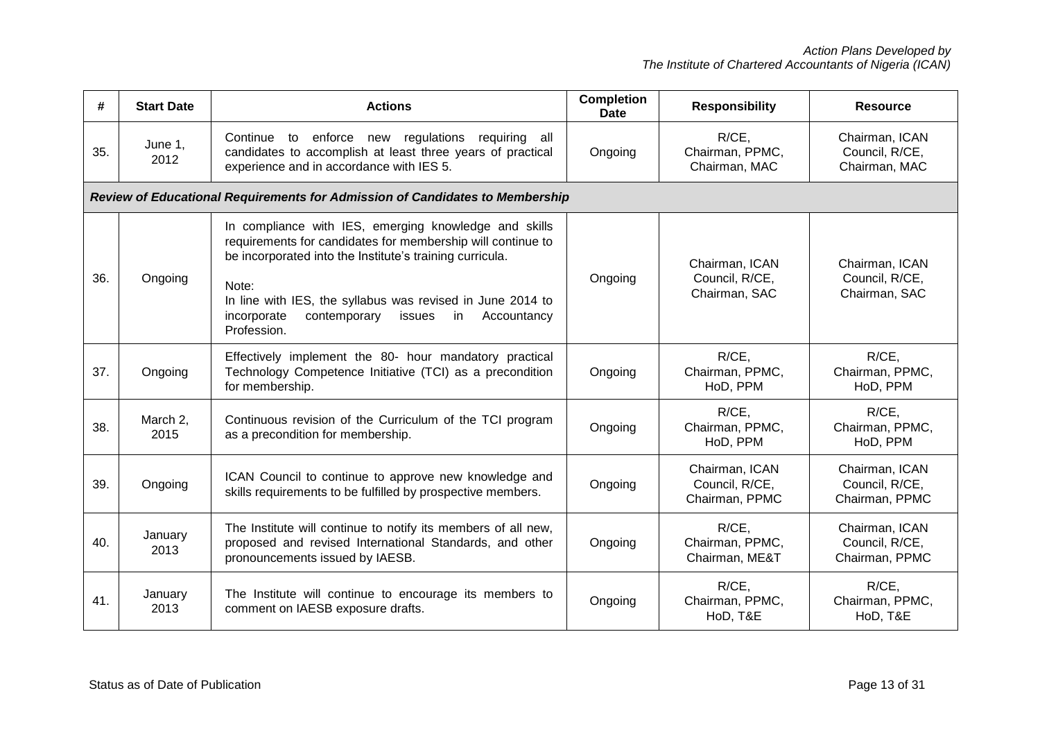| #   | <b>Start Date</b> | <b>Actions</b>                                                                                                                                                                                                                                                                                                                       | <b>Completion</b><br><b>Date</b> | <b>Responsibility</b>                              | <b>Resource</b>                                    |
|-----|-------------------|--------------------------------------------------------------------------------------------------------------------------------------------------------------------------------------------------------------------------------------------------------------------------------------------------------------------------------------|----------------------------------|----------------------------------------------------|----------------------------------------------------|
| 35. | June 1,<br>2012   | Continue to enforce new regulations<br>requiring all<br>candidates to accomplish at least three years of practical<br>experience and in accordance with IES 5.                                                                                                                                                                       | Ongoing                          | R/CE,<br>Chairman, PPMC,<br>Chairman, MAC          | Chairman, ICAN<br>Council, R/CE,<br>Chairman, MAC  |
|     |                   | Review of Educational Requirements for Admission of Candidates to Membership                                                                                                                                                                                                                                                         |                                  |                                                    |                                                    |
| 36. | Ongoing           | In compliance with IES, emerging knowledge and skills<br>requirements for candidates for membership will continue to<br>be incorporated into the Institute's training curricula.<br>Note:<br>In line with IES, the syllabus was revised in June 2014 to<br>incorporate<br>contemporary<br>issues<br>Accountancy<br>in<br>Profession. | Ongoing                          | Chairman, ICAN<br>Council, R/CE,<br>Chairman, SAC  | Chairman, ICAN<br>Council, R/CE,<br>Chairman, SAC  |
| 37. | Ongoing           | Effectively implement the 80- hour mandatory practical<br>Technology Competence Initiative (TCI) as a precondition<br>for membership.                                                                                                                                                                                                | Ongoing                          | R/CE,<br>Chairman, PPMC,<br>HoD, PPM               | R/CE,<br>Chairman, PPMC,<br>HoD, PPM               |
| 38. | March 2,<br>2015  | Continuous revision of the Curriculum of the TCI program<br>as a precondition for membership.                                                                                                                                                                                                                                        | Ongoing                          | R/CE,<br>Chairman, PPMC,<br>HoD, PPM               | R/CE,<br>Chairman, PPMC,<br>HoD, PPM               |
| 39. | Ongoing           | ICAN Council to continue to approve new knowledge and<br>skills requirements to be fulfilled by prospective members.                                                                                                                                                                                                                 | Ongoing                          | Chairman, ICAN<br>Council, R/CE,<br>Chairman, PPMC | Chairman, ICAN<br>Council, R/CE,<br>Chairman, PPMC |
| 40. | January<br>2013   | The Institute will continue to notify its members of all new,<br>proposed and revised International Standards, and other<br>pronouncements issued by IAESB.                                                                                                                                                                          | Ongoing                          | R/CE,<br>Chairman, PPMC,<br>Chairman, ME&T         | Chairman, ICAN<br>Council, R/CE,<br>Chairman, PPMC |
| 41. | January<br>2013   | The Institute will continue to encourage its members to<br>comment on IAESB exposure drafts.                                                                                                                                                                                                                                         | Ongoing                          | R/CE,<br>Chairman, PPMC,<br>HoD, T&E               | R/CE,<br>Chairman, PPMC,<br>HoD, T&E               |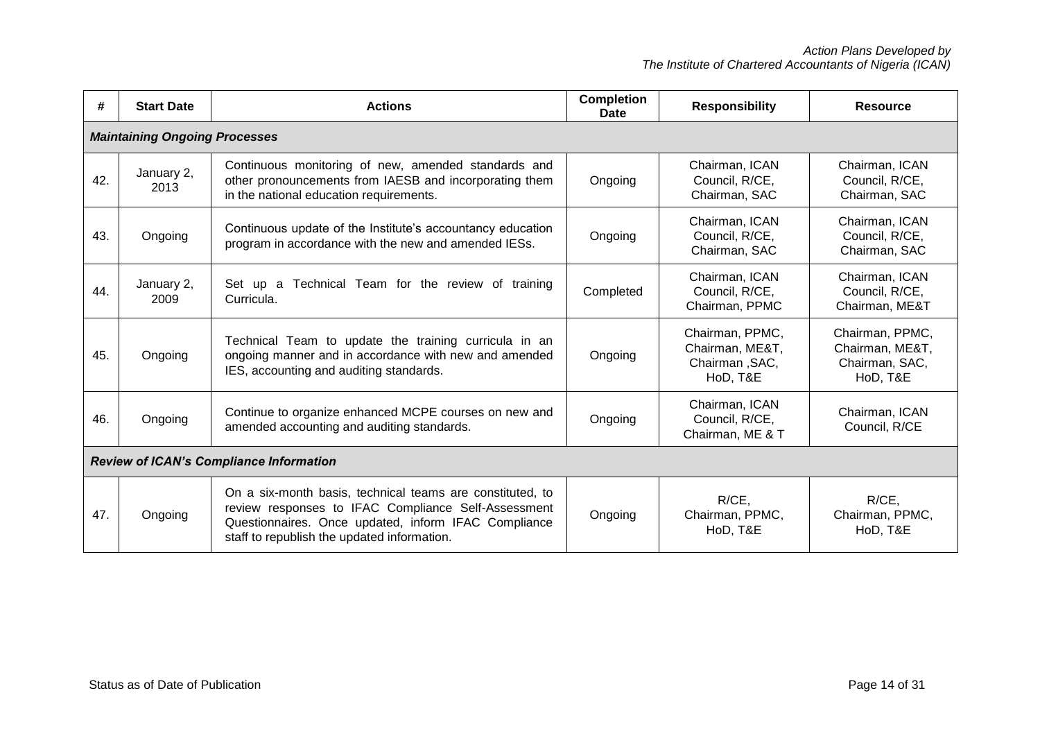| #                                              | <b>Start Date</b>                    | <b>Actions</b>                                                                                                                                                                                                          | Completion<br><b>Date</b> | <b>Responsibility</b>                                            | <b>Resource</b>                                                  |  |  |  |
|------------------------------------------------|--------------------------------------|-------------------------------------------------------------------------------------------------------------------------------------------------------------------------------------------------------------------------|---------------------------|------------------------------------------------------------------|------------------------------------------------------------------|--|--|--|
|                                                | <b>Maintaining Ongoing Processes</b> |                                                                                                                                                                                                                         |                           |                                                                  |                                                                  |  |  |  |
| 42.                                            | January 2,<br>2013                   | Continuous monitoring of new, amended standards and<br>other pronouncements from IAESB and incorporating them<br>in the national education requirements.                                                                | Ongoing                   | Chairman, ICAN<br>Council, R/CE,<br>Chairman, SAC                | Chairman, ICAN<br>Council, R/CE,<br>Chairman, SAC                |  |  |  |
| 43.                                            | Ongoing                              | Continuous update of the Institute's accountancy education<br>program in accordance with the new and amended IESs.                                                                                                      | Ongoing                   | Chairman, ICAN<br>Council, R/CE,<br>Chairman, SAC                | Chairman, ICAN<br>Council, R/CE,<br>Chairman, SAC                |  |  |  |
| 44.                                            | January 2,<br>2009                   | Technical Team for the review of training<br>Set up a<br>Curricula.                                                                                                                                                     | Completed                 | Chairman, ICAN<br>Council, R/CE,<br>Chairman, PPMC               | Chairman, ICAN<br>Council, R/CE,<br>Chairman, ME&T               |  |  |  |
| 45.                                            | Ongoing                              | Technical Team to update the training curricula in an<br>ongoing manner and in accordance with new and amended<br>IES, accounting and auditing standards.                                                               | Ongoing                   | Chairman, PPMC,<br>Chairman, ME&T,<br>Chairman, SAC,<br>HoD, T&E | Chairman, PPMC,<br>Chairman, ME&T,<br>Chairman, SAC,<br>HoD, T&E |  |  |  |
| 46.                                            | Ongoing                              | Continue to organize enhanced MCPE courses on new and<br>amended accounting and auditing standards.                                                                                                                     | Ongoing                   | Chairman, ICAN<br>Council, R/CE,<br>Chairman, ME & T             | Chairman, ICAN<br>Council, R/CE                                  |  |  |  |
| <b>Review of ICAN's Compliance Information</b> |                                      |                                                                                                                                                                                                                         |                           |                                                                  |                                                                  |  |  |  |
| 47.                                            | Ongoing                              | On a six-month basis, technical teams are constituted, to<br>review responses to IFAC Compliance Self-Assessment<br>Questionnaires. Once updated, inform IFAC Compliance<br>staff to republish the updated information. | Ongoing                   | R/CE,<br>Chairman, PPMC,<br>HoD, T&E                             | R/CE,<br>Chairman, PPMC,<br>HoD, T&E                             |  |  |  |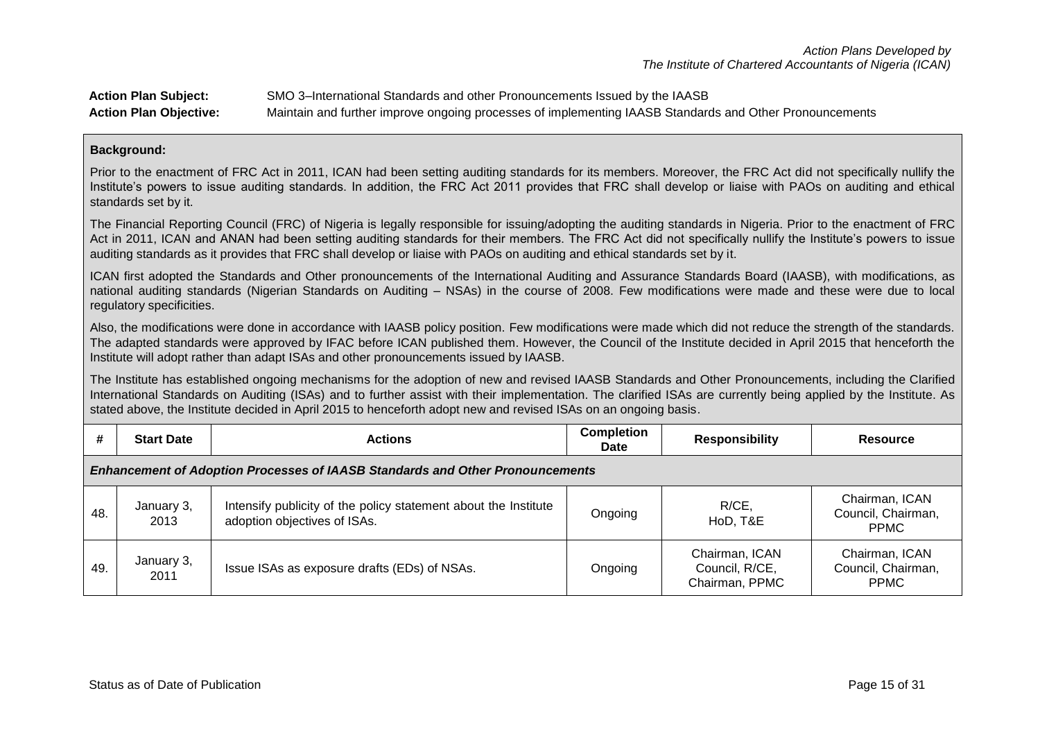| <b>Action Plan Subject:</b>   | SMO 3–International Standards and other Pronouncements Issued by the IAASB                              |
|-------------------------------|---------------------------------------------------------------------------------------------------------|
| <b>Action Plan Objective:</b> | Maintain and further improve ongoing processes of implementing IAASB Standards and Other Pronouncements |

Prior to the enactment of FRC Act in 2011, ICAN had been setting auditing standards for its members. Moreover, the FRC Act did not specifically nullify the Institute's powers to issue auditing standards. In addition, the FRC Act 2011 provides that FRC shall develop or liaise with PAOs on auditing and ethical standards set by it.

The Financial Reporting Council (FRC) of Nigeria is legally responsible for issuing/adopting the auditing standards in Nigeria. Prior to the enactment of FRC Act in 2011, ICAN and ANAN had been setting auditing standards for their members. The FRC Act did not specifically nullify the Institute's powers to issue auditing standards as it provides that FRC shall develop or liaise with PAOs on auditing and ethical standards set by it.

ICAN first adopted the Standards and Other pronouncements of the International Auditing and Assurance Standards Board (IAASB), with modifications, as national auditing standards (Nigerian Standards on Auditing – NSAs) in the course of 2008. Few modifications were made and these were due to local regulatory specificities.

Also, the modifications were done in accordance with IAASB policy position. Few modifications were made which did not reduce the strength of the standards. The adapted standards were approved by IFAC before ICAN published them. However, the Council of the Institute decided in April 2015 that henceforth the Institute will adopt rather than adapt ISAs and other pronouncements issued by IAASB.

The Institute has established ongoing mechanisms for the adoption of new and revised IAASB Standards and Other Pronouncements, including the Clarified International Standards on Auditing (ISAs) and to further assist with their implementation. The clarified ISAs are currently being applied by the Institute. As stated above, the Institute decided in April 2015 to henceforth adopt new and revised ISAs on an ongoing basis.

| #                                                                                    | <b>Start Date</b>  | <b>Actions</b>                                                                                  | <b>Completion</b><br>Date | <b>Responsibility</b>                              | Resource                                            |  |
|--------------------------------------------------------------------------------------|--------------------|-------------------------------------------------------------------------------------------------|---------------------------|----------------------------------------------------|-----------------------------------------------------|--|
| <b>Enhancement of Adoption Processes of IAASB Standards and Other Pronouncements</b> |                    |                                                                                                 |                           |                                                    |                                                     |  |
| 48.                                                                                  | January 3,<br>2013 | Intensify publicity of the policy statement about the Institute<br>adoption objectives of ISAs. | Ongoing                   | $R/CE$ ,<br>HoD, T&E                               | Chairman, ICAN<br>Council, Chairman,<br><b>PPMC</b> |  |
| 49.                                                                                  | January 3,<br>2011 | Issue ISAs as exposure drafts (EDs) of NSAs.                                                    | Ongoing                   | Chairman, ICAN<br>Council, R/CE,<br>Chairman, PPMC | Chairman, ICAN<br>Council, Chairman,<br><b>PPMC</b> |  |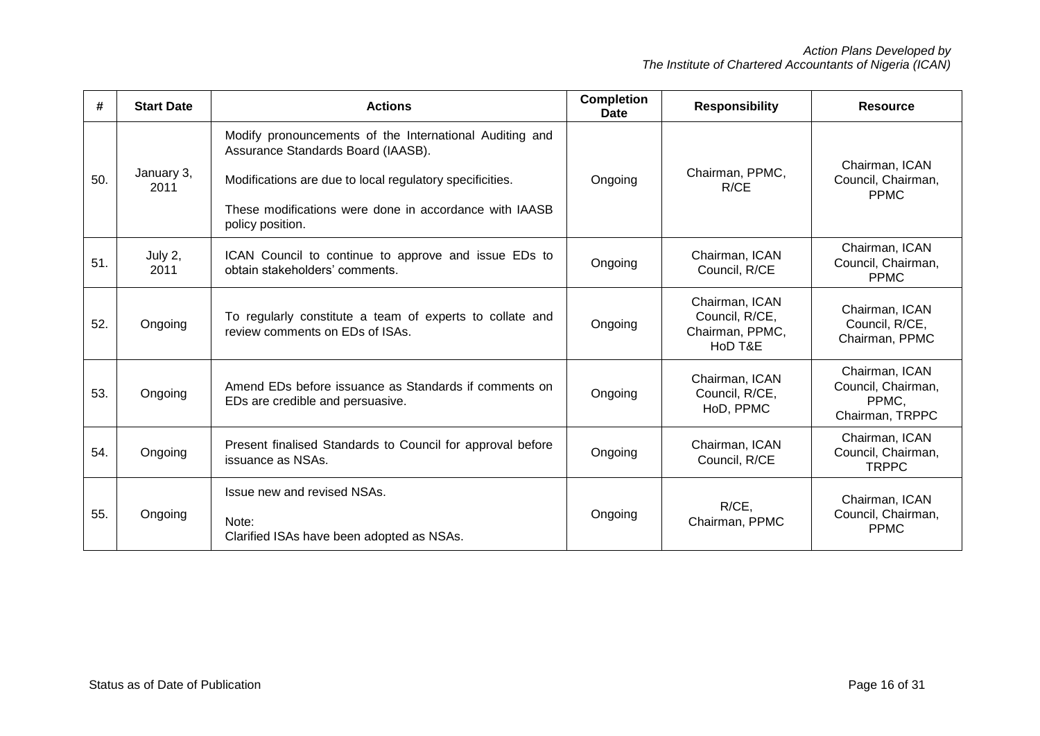| #   | <b>Start Date</b>  | <b>Actions</b>                                                                                                                                                                                                                          | <b>Completion</b><br>Date | <b>Responsibility</b>                                          | <b>Resource</b>                                                  |
|-----|--------------------|-----------------------------------------------------------------------------------------------------------------------------------------------------------------------------------------------------------------------------------------|---------------------------|----------------------------------------------------------------|------------------------------------------------------------------|
| 50. | January 3,<br>2011 | Modify pronouncements of the International Auditing and<br>Assurance Standards Board (IAASB).<br>Modifications are due to local regulatory specificities.<br>These modifications were done in accordance with IAASB<br>policy position. | Ongoing                   | Chairman, PPMC,<br>R/CE                                        | Chairman, ICAN<br>Council, Chairman,<br><b>PPMC</b>              |
| 51. | July 2,<br>2011    | ICAN Council to continue to approve and issue EDs to<br>obtain stakeholders' comments.                                                                                                                                                  | Ongoing                   | Chairman, ICAN<br>Council, R/CE                                | Chairman, ICAN<br>Council, Chairman,<br><b>PPMC</b>              |
| 52. | Ongoing            | To regularly constitute a team of experts to collate and<br>review comments on EDs of ISAs.                                                                                                                                             | Ongoing                   | Chairman, ICAN<br>Council, R/CE,<br>Chairman, PPMC,<br>HoD T&E | Chairman, ICAN<br>Council, R/CE,<br>Chairman, PPMC               |
| 53. | Ongoing            | Amend EDs before issuance as Standards if comments on<br>EDs are credible and persuasive.                                                                                                                                               | Ongoing                   | Chairman, ICAN<br>Council, R/CE,<br>HoD, PPMC                  | Chairman, ICAN<br>Council, Chairman,<br>PPMC,<br>Chairman, TRPPC |
| 54. | Ongoing            | Present finalised Standards to Council for approval before<br>issuance as NSAs.                                                                                                                                                         | Ongoing                   | Chairman, ICAN<br>Council, R/CE                                | Chairman, ICAN<br>Council, Chairman,<br><b>TRPPC</b>             |
| 55. | Ongoing            | Issue new and revised NSAs.<br>Note:<br>Clarified ISAs have been adopted as NSAs.                                                                                                                                                       | Ongoing                   | $R/CE$ ,<br>Chairman, PPMC                                     | Chairman, ICAN<br>Council, Chairman,<br><b>PPMC</b>              |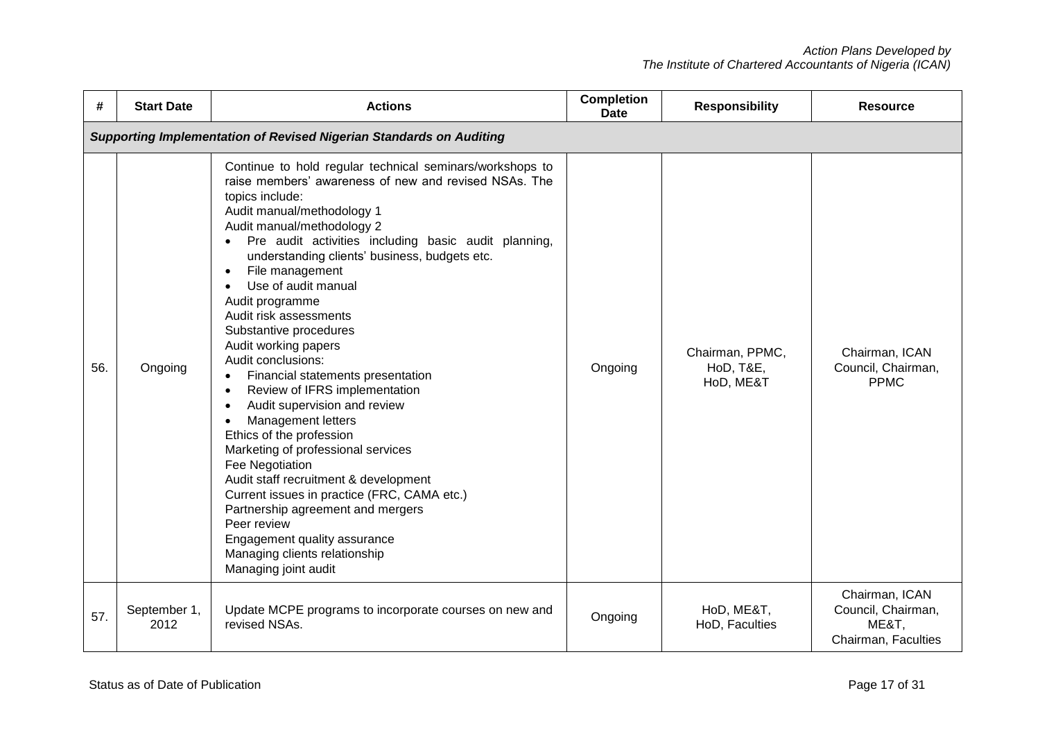| #   | <b>Start Date</b>                                                          | <b>Actions</b>                                                                                                                                                                                                                                                                                                                                                                                                                                                                                                                                                                                                                                                                                                                                                                                                                                                                                                                                                               | <b>Completion</b><br><b>Date</b> | <b>Responsibility</b>                     | <b>Resource</b>                                                      |  |  |  |
|-----|----------------------------------------------------------------------------|------------------------------------------------------------------------------------------------------------------------------------------------------------------------------------------------------------------------------------------------------------------------------------------------------------------------------------------------------------------------------------------------------------------------------------------------------------------------------------------------------------------------------------------------------------------------------------------------------------------------------------------------------------------------------------------------------------------------------------------------------------------------------------------------------------------------------------------------------------------------------------------------------------------------------------------------------------------------------|----------------------------------|-------------------------------------------|----------------------------------------------------------------------|--|--|--|
|     | <b>Supporting Implementation of Revised Nigerian Standards on Auditing</b> |                                                                                                                                                                                                                                                                                                                                                                                                                                                                                                                                                                                                                                                                                                                                                                                                                                                                                                                                                                              |                                  |                                           |                                                                      |  |  |  |
| 56. | Ongoing                                                                    | Continue to hold regular technical seminars/workshops to<br>raise members' awareness of new and revised NSAs. The<br>topics include:<br>Audit manual/methodology 1<br>Audit manual/methodology 2<br>Pre audit activities including basic audit planning,<br>understanding clients' business, budgets etc.<br>File management<br>$\bullet$<br>Use of audit manual<br>Audit programme<br>Audit risk assessments<br>Substantive procedures<br>Audit working papers<br>Audit conclusions:<br>Financial statements presentation<br>Review of IFRS implementation<br>$\bullet$<br>Audit supervision and review<br><b>Management letters</b><br>$\bullet$<br>Ethics of the profession<br>Marketing of professional services<br>Fee Negotiation<br>Audit staff recruitment & development<br>Current issues in practice (FRC, CAMA etc.)<br>Partnership agreement and mergers<br>Peer review<br>Engagement quality assurance<br>Managing clients relationship<br>Managing joint audit | Ongoing                          | Chairman, PPMC,<br>HoD, T&E,<br>HoD, ME&T | Chairman, ICAN<br>Council, Chairman,<br><b>PPMC</b>                  |  |  |  |
| 57. | September 1,<br>2012                                                       | Update MCPE programs to incorporate courses on new and<br>revised NSAs.                                                                                                                                                                                                                                                                                                                                                                                                                                                                                                                                                                                                                                                                                                                                                                                                                                                                                                      | Ongoing                          | HoD, ME&T,<br>HoD, Faculties              | Chairman, ICAN<br>Council, Chairman,<br>ME&T,<br>Chairman, Faculties |  |  |  |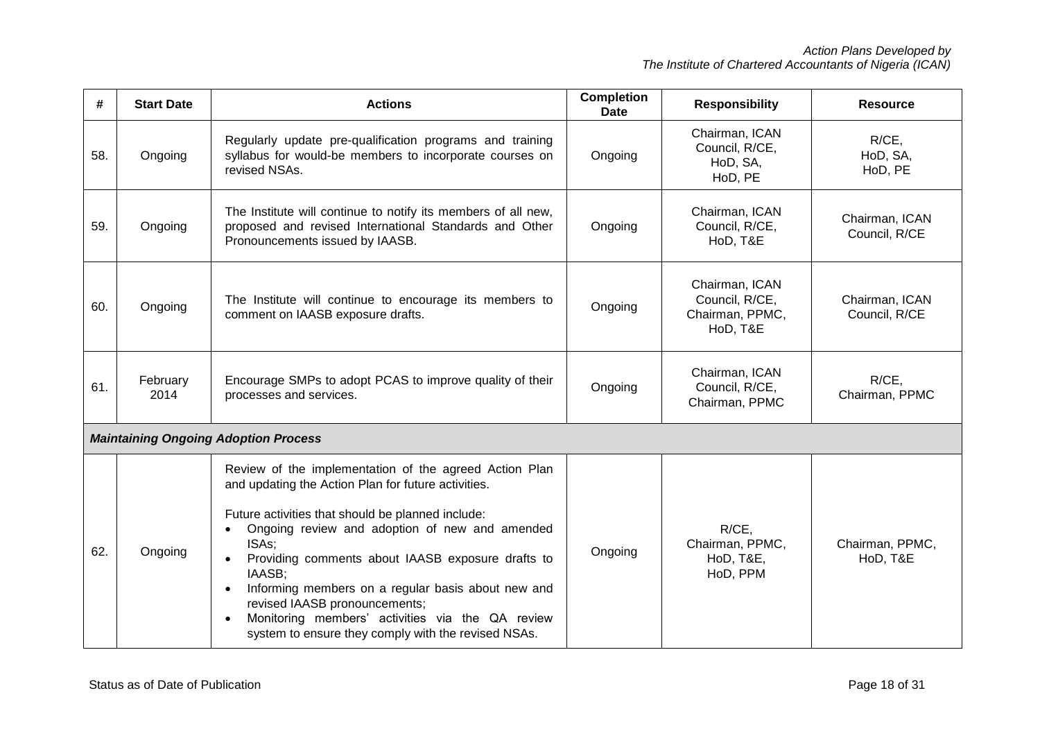| #   | <b>Start Date</b> | <b>Actions</b>                                                                                                                                                                                                                                                                                                                                                                                                                                                                                                           | <b>Completion</b><br><b>Date</b> | <b>Responsibility</b>                                           | <b>Resource</b>                 |
|-----|-------------------|--------------------------------------------------------------------------------------------------------------------------------------------------------------------------------------------------------------------------------------------------------------------------------------------------------------------------------------------------------------------------------------------------------------------------------------------------------------------------------------------------------------------------|----------------------------------|-----------------------------------------------------------------|---------------------------------|
| 58. | Ongoing           | Regularly update pre-qualification programs and training<br>syllabus for would-be members to incorporate courses on<br>revised NSAs.                                                                                                                                                                                                                                                                                                                                                                                     | Ongoing                          | Chairman, ICAN<br>Council, R/CE,<br>HoD, SA,<br>HoD, PE         | $R/CE$ ,<br>HoD, SA,<br>HoD, PE |
| 59. | Ongoing           | The Institute will continue to notify its members of all new,<br>proposed and revised International Standards and Other<br>Pronouncements issued by IAASB.                                                                                                                                                                                                                                                                                                                                                               | Ongoing                          | Chairman, ICAN<br>Council, R/CE,<br>HoD, T&E                    | Chairman, ICAN<br>Council, R/CE |
| 60. | Ongoing           | The Institute will continue to encourage its members to<br>comment on IAASB exposure drafts.                                                                                                                                                                                                                                                                                                                                                                                                                             | Ongoing                          | Chairman, ICAN<br>Council, R/CE,<br>Chairman, PPMC,<br>HoD, T&E | Chairman, ICAN<br>Council, R/CE |
| 61. | February<br>2014  | Encourage SMPs to adopt PCAS to improve quality of their<br>processes and services.                                                                                                                                                                                                                                                                                                                                                                                                                                      | Ongoing                          | Chairman, ICAN<br>Council, R/CE,<br>Chairman, PPMC              | $R/CE$ .<br>Chairman, PPMC      |
|     |                   | <b>Maintaining Ongoing Adoption Process</b>                                                                                                                                                                                                                                                                                                                                                                                                                                                                              |                                  |                                                                 |                                 |
| 62. | Ongoing           | Review of the implementation of the agreed Action Plan<br>and updating the Action Plan for future activities.<br>Future activities that should be planned include:<br>Ongoing review and adoption of new and amended<br>ISAs;<br>Providing comments about IAASB exposure drafts to<br>IAASB:<br>Informing members on a regular basis about new and<br>$\bullet$<br>revised IAASB pronouncements;<br>Monitoring members' activities via the QA review<br>$\bullet$<br>system to ensure they comply with the revised NSAs. | Ongoing                          | R/CE,<br>Chairman, PPMC,<br>HoD, T&E,<br>HoD, PPM               | Chairman, PPMC,<br>HoD, T&E     |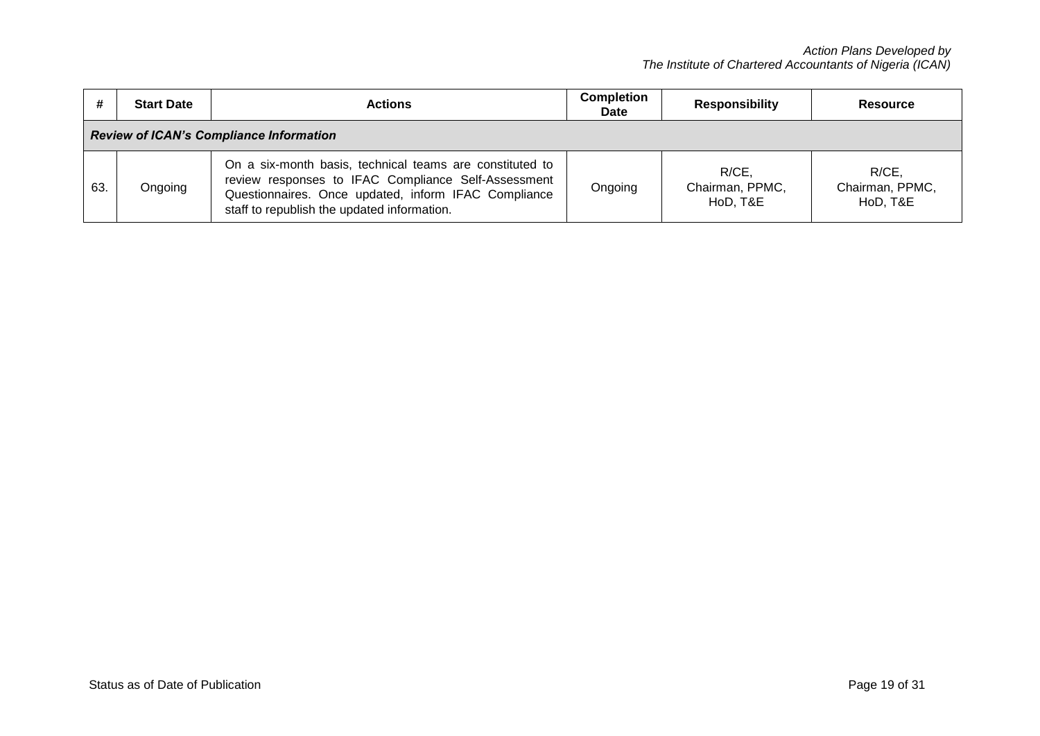|                                                | <b>Start Date</b> | <b>Actions</b>                                                                                                                                                                                                         | <b>Completion</b><br>Date | <b>Responsibility</b>                | Resource                             |  |
|------------------------------------------------|-------------------|------------------------------------------------------------------------------------------------------------------------------------------------------------------------------------------------------------------------|---------------------------|--------------------------------------|--------------------------------------|--|
| <b>Review of ICAN's Compliance Information</b> |                   |                                                                                                                                                                                                                        |                           |                                      |                                      |  |
| 63.                                            | Ongoing           | On a six-month basis, technical teams are constituted to<br>review responses to IFAC Compliance Self-Assessment<br>Questionnaires. Once updated, inform IFAC Compliance<br>staff to republish the updated information. | Ongoing                   | R/CE,<br>Chairman, PPMC,<br>HoD, T&E | R/CE.<br>Chairman, PPMC,<br>HoD, T&E |  |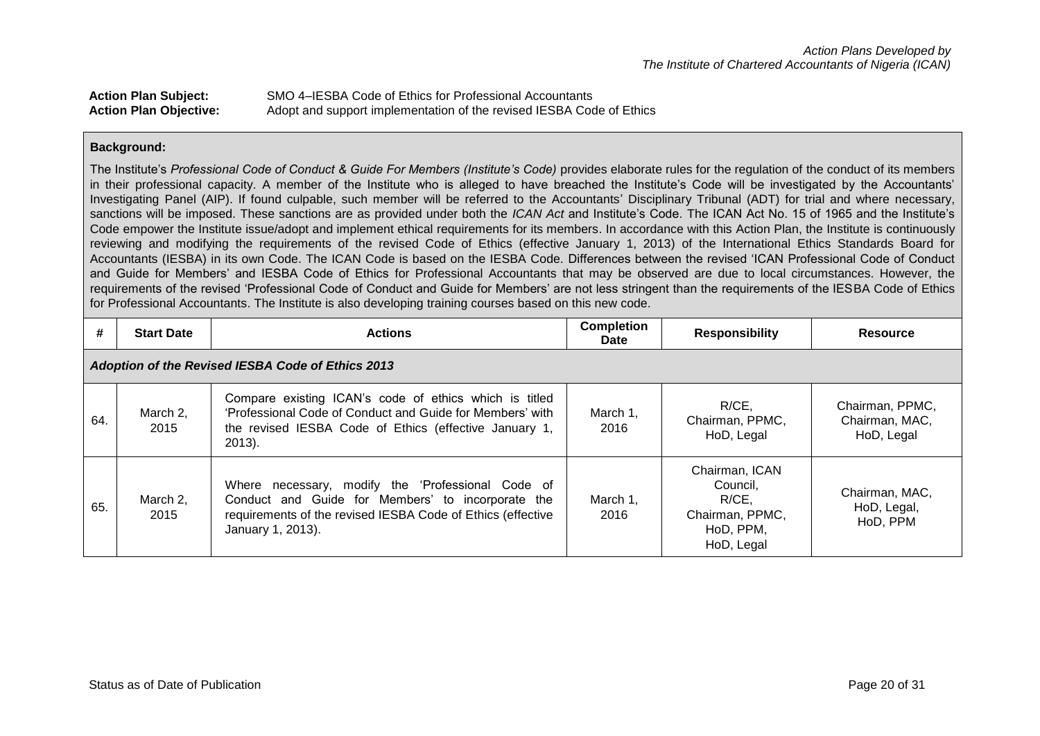| <b>Action Plan Subject:</b>   | SMO 4–IESBA Code of Ethics for Professional Accountants              |
|-------------------------------|----------------------------------------------------------------------|
| <b>Action Plan Objective:</b> | Adopt and support implementation of the revised IESBA Code of Ethics |

The Institute's *Professional Code of Conduct & Guide For Members (Institute's Code)* provides elaborate rules for the regulation of the conduct of its members in their professional capacity. A member of the Institute who is alleged to have breached the Institute's Code will be investigated by the Accountants' Investigating Panel (AIP). If found culpable, such member will be referred to the Accountants' Disciplinary Tribunal (ADT) for trial and where necessary, sanctions will be imposed. These sanctions are as provided under both the *ICAN Act* and Institute's Code. The ICAN Act No. 15 of 1965 and the Institute's Code empower the Institute issue/adopt and implement ethical requirements for its members. In accordance with this Action Plan, the Institute is continuously reviewing and modifying the requirements of the revised Code of Ethics (effective January 1, 2013) of the International Ethics Standards Board for Accountants (IESBA) in its own Code. The ICAN Code is based on the IESBA Code. Differences between the revised 'ICAN Professional Code of Conduct and Guide for Members' and IESBA Code of Ethics for Professional Accountants that may be observed are due to local circumstances. However, the requirements of the revised 'Professional Code of Conduct and Guide for Members' are not less stringent than the requirements of the IESBA Code of Ethics for Professional Accountants. The Institute is also developing training courses based on this new code.

| #   | <b>Start Date</b>                                        | <b>Actions</b>                                                                                                                                                                             | <b>Completion</b><br><b>Date</b> | <b>Responsibility</b>                                                            | <b>Resource</b>                                 |  |  |  |
|-----|----------------------------------------------------------|--------------------------------------------------------------------------------------------------------------------------------------------------------------------------------------------|----------------------------------|----------------------------------------------------------------------------------|-------------------------------------------------|--|--|--|
|     | <b>Adoption of the Revised IESBA Code of Ethics 2013</b> |                                                                                                                                                                                            |                                  |                                                                                  |                                                 |  |  |  |
| 64. | March 2,<br>2015                                         | Compare existing ICAN's code of ethics which is titled<br>'Professional Code of Conduct and Guide for Members' with<br>the revised IESBA Code of Ethics (effective January 1,<br>$2013$ ). | March 1,<br>2016                 | $R/CE$ ,<br>Chairman, PPMC,<br>HoD, Legal                                        | Chairman, PPMC,<br>Chairman, MAC,<br>HoD, Legal |  |  |  |
| 65. | March 2,<br>2015                                         | Where necessary, modify the 'Professional Code of<br>Conduct and Guide for Members' to incorporate the<br>requirements of the revised IESBA Code of Ethics (effective<br>January 1, 2013). | March 1,<br>2016                 | Chairman, ICAN<br>Council,<br>R/CE<br>Chairman, PPMC,<br>HoD, PPM,<br>HoD, Legal | Chairman, MAC,<br>HoD, Legal,<br>HoD, PPM       |  |  |  |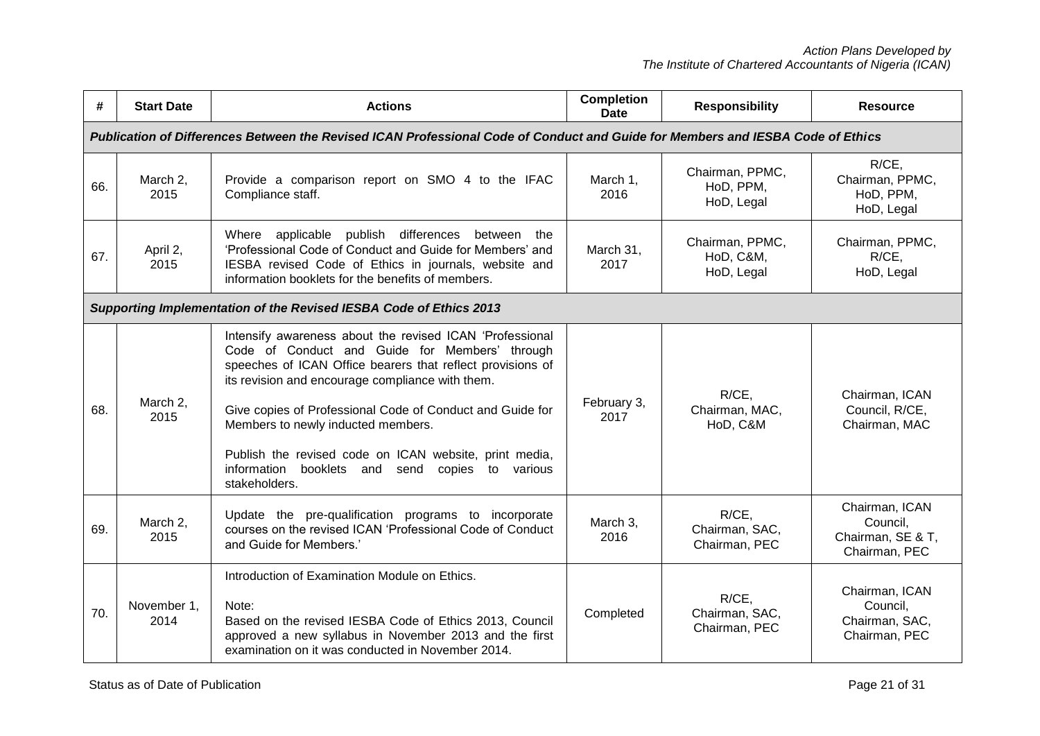| #   | <b>Start Date</b>                                                                                                               | <b>Actions</b>                                                                                                                                                                                                                                                                                                                                                                                                                                                   | <b>Completion</b><br>Date | <b>Responsibility</b>                      | <b>Resource</b>                                                  |  |  |
|-----|---------------------------------------------------------------------------------------------------------------------------------|------------------------------------------------------------------------------------------------------------------------------------------------------------------------------------------------------------------------------------------------------------------------------------------------------------------------------------------------------------------------------------------------------------------------------------------------------------------|---------------------------|--------------------------------------------|------------------------------------------------------------------|--|--|
|     | Publication of Differences Between the Revised ICAN Professional Code of Conduct and Guide for Members and IESBA Code of Ethics |                                                                                                                                                                                                                                                                                                                                                                                                                                                                  |                           |                                            |                                                                  |  |  |
| 66. | March 2,<br>2015                                                                                                                | Provide a comparison report on SMO 4 to the IFAC<br>Compliance staff.                                                                                                                                                                                                                                                                                                                                                                                            | March 1,<br>2016          | Chairman, PPMC,<br>HoD, PPM,<br>HoD, Legal | R/CE,<br>Chairman, PPMC,<br>HoD, PPM,<br>HoD, Legal              |  |  |
| 67. | April 2,<br>2015                                                                                                                | Where applicable publish differences<br>between<br>the<br>'Professional Code of Conduct and Guide for Members' and<br>IESBA revised Code of Ethics in journals, website and<br>information booklets for the benefits of members.                                                                                                                                                                                                                                 | March 31,<br>2017         | Chairman, PPMC,<br>HoD, C&M,<br>HoD, Legal | Chairman, PPMC,<br>R/CE,<br>HoD, Legal                           |  |  |
|     | Supporting Implementation of the Revised IESBA Code of Ethics 2013                                                              |                                                                                                                                                                                                                                                                                                                                                                                                                                                                  |                           |                                            |                                                                  |  |  |
| 68. | March 2,<br>2015                                                                                                                | Intensify awareness about the revised ICAN 'Professional<br>Code of Conduct and Guide for Members' through<br>speeches of ICAN Office bearers that reflect provisions of<br>its revision and encourage compliance with them.<br>Give copies of Professional Code of Conduct and Guide for<br>Members to newly inducted members.<br>Publish the revised code on ICAN website, print media,<br>information booklets and send<br>copies to various<br>stakeholders. | February 3,<br>2017       | R/CE,<br>Chairman, MAC,<br>HoD, C&M        | Chairman, ICAN<br>Council, R/CE,<br>Chairman, MAC                |  |  |
| 69. | March 2,<br>2015                                                                                                                | Update the pre-qualification programs to incorporate<br>courses on the revised ICAN 'Professional Code of Conduct<br>and Guide for Members.'                                                                                                                                                                                                                                                                                                                     | March 3,<br>2016          | R/CE,<br>Chairman, SAC,<br>Chairman, PEC   | Chairman, ICAN<br>Council,<br>Chairman, SE & T,<br>Chairman, PEC |  |  |
| 70. | November 1,<br>2014                                                                                                             | Introduction of Examination Module on Ethics.<br>Note:<br>Based on the revised IESBA Code of Ethics 2013, Council<br>approved a new syllabus in November 2013 and the first<br>examination on it was conducted in November 2014.                                                                                                                                                                                                                                 | Completed                 | R/CE,<br>Chairman, SAC,<br>Chairman, PEC   | Chairman, ICAN<br>Council,<br>Chairman, SAC,<br>Chairman, PEC    |  |  |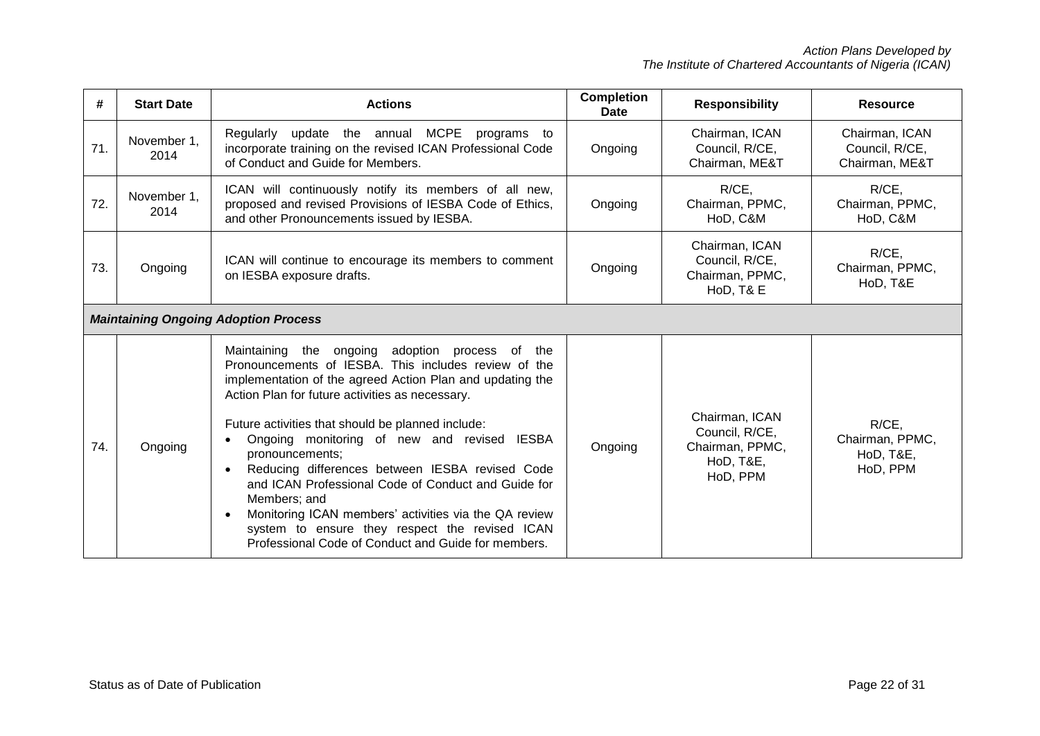| #   | <b>Start Date</b>   | <b>Actions</b>                                                                                                                                                                                                                                                                                                                                                                                                                                                                                                                                                                                                                                                       | <b>Completion</b><br>Date | <b>Responsibility</b>                                                        | <b>Resource</b>                                    |
|-----|---------------------|----------------------------------------------------------------------------------------------------------------------------------------------------------------------------------------------------------------------------------------------------------------------------------------------------------------------------------------------------------------------------------------------------------------------------------------------------------------------------------------------------------------------------------------------------------------------------------------------------------------------------------------------------------------------|---------------------------|------------------------------------------------------------------------------|----------------------------------------------------|
| 71. | November 1,<br>2014 | Regularly update the annual MCPE programs to<br>incorporate training on the revised ICAN Professional Code<br>of Conduct and Guide for Members.                                                                                                                                                                                                                                                                                                                                                                                                                                                                                                                      | Ongoing                   | Chairman, ICAN<br>Council, R/CE,<br>Chairman, ME&T                           | Chairman, ICAN<br>Council, R/CE,<br>Chairman, ME&T |
| 72. | November 1.<br>2014 | ICAN will continuously notify its members of all new,<br>proposed and revised Provisions of IESBA Code of Ethics,<br>and other Pronouncements issued by IESBA.                                                                                                                                                                                                                                                                                                                                                                                                                                                                                                       | Ongoing                   | R/CE,<br>Chairman, PPMC,<br>HoD, C&M                                         | $R/CE$ ,<br>Chairman, PPMC,<br>HoD, C&M            |
| 73. | Ongoing             | ICAN will continue to encourage its members to comment<br>on IESBA exposure drafts.                                                                                                                                                                                                                                                                                                                                                                                                                                                                                                                                                                                  | Ongoing                   | Chairman, ICAN<br>Council, R/CE,<br>Chairman, PPMC,<br>HoD, T& E             | R/CE,<br>Chairman, PPMC,<br>HoD, T&E               |
|     |                     | <b>Maintaining Ongoing Adoption Process</b>                                                                                                                                                                                                                                                                                                                                                                                                                                                                                                                                                                                                                          |                           |                                                                              |                                                    |
| 74. | Ongoing             | Maintaining the ongoing adoption process of the<br>Pronouncements of IESBA. This includes review of the<br>implementation of the agreed Action Plan and updating the<br>Action Plan for future activities as necessary.<br>Future activities that should be planned include:<br>Ongoing monitoring of new and revised IESBA<br>pronouncements;<br>Reducing differences between IESBA revised Code<br>$\bullet$<br>and ICAN Professional Code of Conduct and Guide for<br>Members; and<br>Monitoring ICAN members' activities via the QA review<br>$\bullet$<br>system to ensure they respect the revised ICAN<br>Professional Code of Conduct and Guide for members. | Ongoing                   | Chairman, ICAN<br>Council, R/CE,<br>Chairman, PPMC,<br>HoD, T&E,<br>HoD, PPM | R/CE,<br>Chairman, PPMC,<br>HoD, T&E,<br>HoD, PPM  |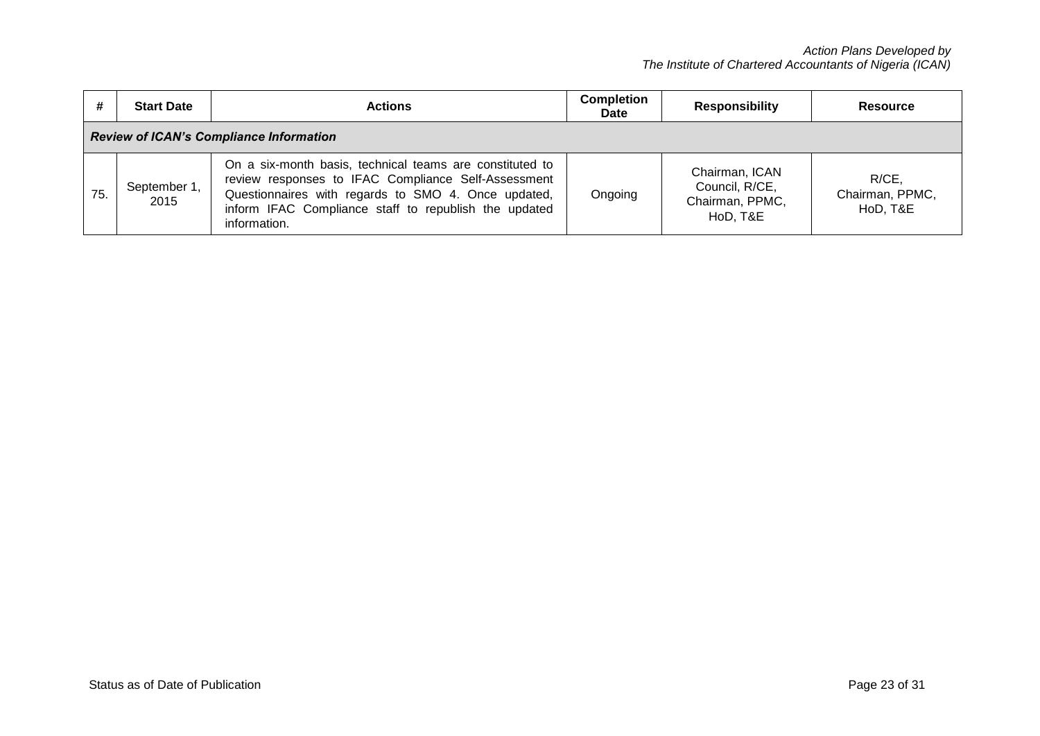| #                                              | <b>Start Date</b>    | <b>Actions</b>                                                                                                                                                                                                                                  | <b>Completion</b><br><b>Date</b> | <b>Responsibility</b>                                           | Resource                             |  |
|------------------------------------------------|----------------------|-------------------------------------------------------------------------------------------------------------------------------------------------------------------------------------------------------------------------------------------------|----------------------------------|-----------------------------------------------------------------|--------------------------------------|--|
| <b>Review of ICAN's Compliance Information</b> |                      |                                                                                                                                                                                                                                                 |                                  |                                                                 |                                      |  |
| 75.                                            | September 1,<br>2015 | On a six-month basis, technical teams are constituted to<br>review responses to IFAC Compliance Self-Assessment<br>Questionnaires with regards to SMO 4. Once updated,<br>inform IFAC Compliance staff to republish the updated<br>information. | Ongoing                          | Chairman, ICAN<br>Council, R/CE,<br>Chairman, PPMC,<br>HoD, T&E | R/CE,<br>Chairman, PPMC,<br>HoD, T&E |  |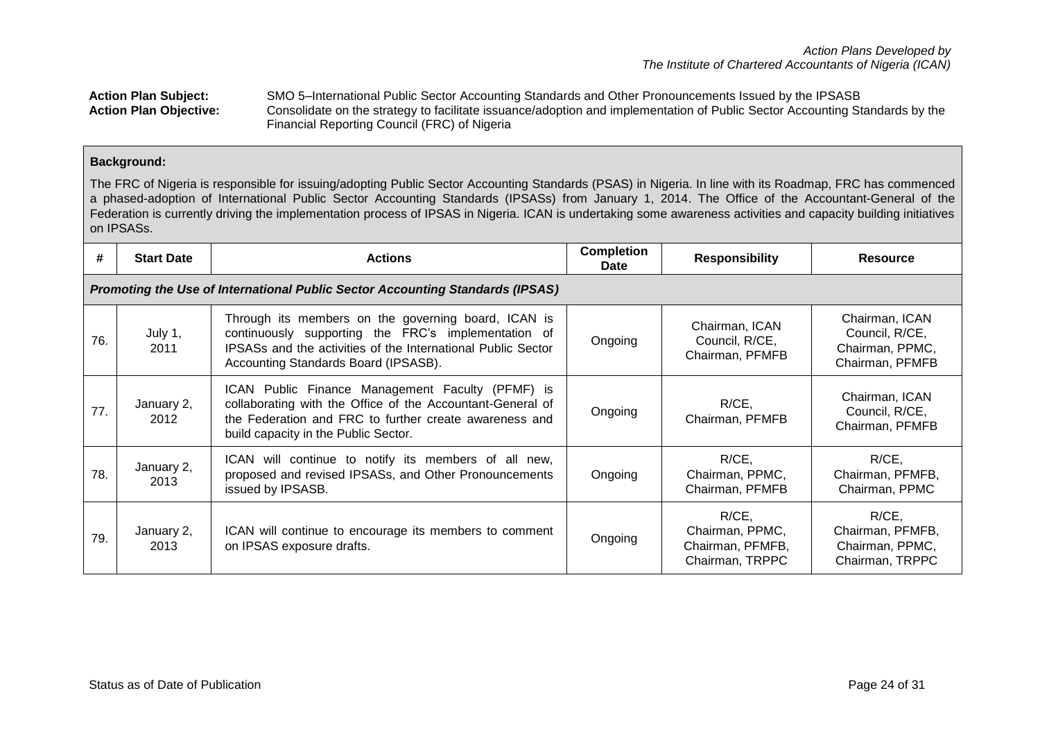Action Plan Subject: SMO 5–International Public Sector Accounting Standards and Other Pronouncements Issued by the IPSASB<br>Action Plan Objective: Consolidate on the strategy to facilitate issuance/adoption and implementatio **Action Plan Objective:** Consolidate on the strategy to facilitate issuance/adoption and implementation of Public Sector Accounting Standards by the Financial Reporting Council (FRC) of Nigeria

## **Background:**

The FRC of Nigeria is responsible for issuing/adopting Public Sector Accounting Standards (PSAS) in Nigeria. In line with its Roadmap, FRC has commenced a phased-adoption of International Public Sector Accounting Standards (IPSASs) from January 1, 2014. The Office of the Accountant-General of the Federation is currently driving the implementation process of IPSAS in Nigeria. ICAN is undertaking some awareness activities and capacity building initiatives on IPSASs.

| #   | <b>Start Date</b>                                                             | <b>Actions</b>                                                                                                                                                                                                     | <b>Completion</b><br>Date | <b>Responsibility</b>                                              | <b>Resource</b>                                                        |  |  |  |
|-----|-------------------------------------------------------------------------------|--------------------------------------------------------------------------------------------------------------------------------------------------------------------------------------------------------------------|---------------------------|--------------------------------------------------------------------|------------------------------------------------------------------------|--|--|--|
|     | Promoting the Use of International Public Sector Accounting Standards (IPSAS) |                                                                                                                                                                                                                    |                           |                                                                    |                                                                        |  |  |  |
| 76. | July 1,<br>2011                                                               | Through its members on the governing board, ICAN is<br>continuously supporting the FRC's implementation of<br>IPSASs and the activities of the International Public Sector<br>Accounting Standards Board (IPSASB). | Ongoing                   | Chairman, ICAN<br>Council, R/CE,<br>Chairman, PFMFB                | Chairman, ICAN<br>Council, R/CE,<br>Chairman, PPMC,<br>Chairman, PFMFB |  |  |  |
| 77. | January 2,<br>2012                                                            | ICAN Public Finance Management Faculty (PFMF) is<br>collaborating with the Office of the Accountant-General of<br>the Federation and FRC to further create awareness and<br>build capacity in the Public Sector.   | Ongoing                   | $R/CE$ ,<br>Chairman, PFMFB                                        | Chairman, ICAN<br>Council, R/CE,<br>Chairman, PFMFB                    |  |  |  |
| 78. | January 2,<br>2013                                                            | ICAN will continue to notify its members of all new,<br>proposed and revised IPSASs, and Other Pronouncements<br>issued by IPSASB.                                                                                 | Ongoing                   | $R/CE$ ,<br>Chairman, PPMC,<br>Chairman, PFMFB                     | $R/CE$ ,<br>Chairman, PFMFB,<br>Chairman, PPMC                         |  |  |  |
| 79. | January 2,<br>2013                                                            | ICAN will continue to encourage its members to comment<br>on IPSAS exposure drafts.                                                                                                                                | Ongoing                   | $R/CE$ ,<br>Chairman, PPMC,<br>Chairman, PFMFB,<br>Chairman, TRPPC | $R/CE$ ,<br>Chairman, PFMFB,<br>Chairman, PPMC,<br>Chairman, TRPPC     |  |  |  |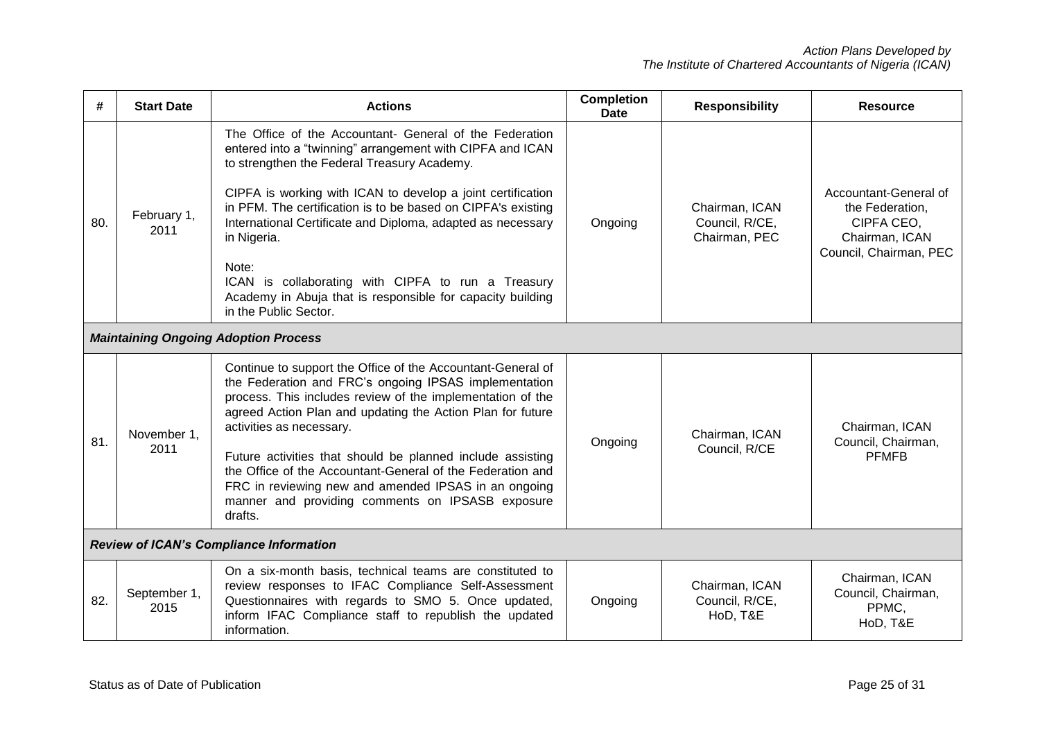| #   | <b>Start Date</b>                              | <b>Actions</b>                                                                                                                                                                                                                                                                                                                                                                                                                                                                                                                         | <b>Completion</b><br><b>Date</b> | <b>Responsibility</b>                             | <b>Resource</b>                                                                                    |  |
|-----|------------------------------------------------|----------------------------------------------------------------------------------------------------------------------------------------------------------------------------------------------------------------------------------------------------------------------------------------------------------------------------------------------------------------------------------------------------------------------------------------------------------------------------------------------------------------------------------------|----------------------------------|---------------------------------------------------|----------------------------------------------------------------------------------------------------|--|
| 80. | February 1,<br>2011                            | The Office of the Accountant- General of the Federation<br>entered into a "twinning" arrangement with CIPFA and ICAN<br>to strengthen the Federal Treasury Academy.<br>CIPFA is working with ICAN to develop a joint certification<br>in PFM. The certification is to be based on CIPFA's existing<br>International Certificate and Diploma, adapted as necessary<br>in Nigeria.<br>Note:<br>ICAN is collaborating with CIPFA to run a Treasury<br>Academy in Abuja that is responsible for capacity building<br>in the Public Sector. | Ongoing                          | Chairman, ICAN<br>Council, R/CE,<br>Chairman, PEC | Accountant-General of<br>the Federation,<br>CIPFA CEO,<br>Chairman, ICAN<br>Council, Chairman, PEC |  |
|     |                                                | <b>Maintaining Ongoing Adoption Process</b>                                                                                                                                                                                                                                                                                                                                                                                                                                                                                            |                                  |                                                   |                                                                                                    |  |
| 81. | November 1,<br>2011                            | Continue to support the Office of the Accountant-General of<br>the Federation and FRC's ongoing IPSAS implementation<br>process. This includes review of the implementation of the<br>agreed Action Plan and updating the Action Plan for future<br>activities as necessary.<br>Future activities that should be planned include assisting<br>the Office of the Accountant-General of the Federation and<br>FRC in reviewing new and amended IPSAS in an ongoing<br>manner and providing comments on IPSASB exposure<br>drafts.        | Ongoing                          | Chairman, ICAN<br>Council, R/CE                   | Chairman, ICAN<br>Council, Chairman,<br><b>PFMFB</b>                                               |  |
|     | <b>Review of ICAN's Compliance Information</b> |                                                                                                                                                                                                                                                                                                                                                                                                                                                                                                                                        |                                  |                                                   |                                                                                                    |  |
| 82. | September 1,<br>2015                           | On a six-month basis, technical teams are constituted to<br>review responses to IFAC Compliance Self-Assessment<br>Questionnaires with regards to SMO 5. Once updated,<br>inform IFAC Compliance staff to republish the updated<br>information.                                                                                                                                                                                                                                                                                        | Ongoing                          | Chairman, ICAN<br>Council, R/CE,<br>HoD, T&E      | Chairman, ICAN<br>Council, Chairman,<br>PPMC.<br>HoD, T&E                                          |  |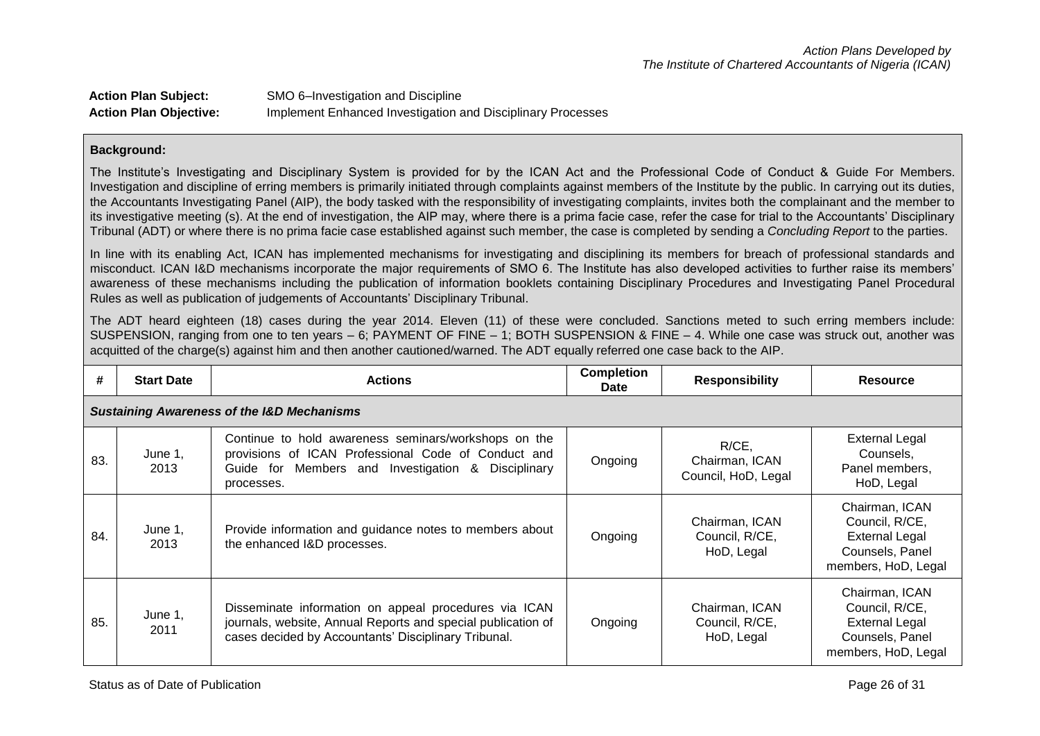| <b>Action Plan Subject:</b>   | SMO 6-Investigation and Discipline                          |
|-------------------------------|-------------------------------------------------------------|
| <b>Action Plan Objective:</b> | Implement Enhanced Investigation and Disciplinary Processes |

The Institute's Investigating and Disciplinary System is provided for by the ICAN Act and the Professional Code of Conduct & Guide For Members. Investigation and discipline of erring members is primarily initiated through complaints against members of the Institute by the public. In carrying out its duties, the Accountants Investigating Panel (AIP), the body tasked with the responsibility of investigating complaints, invites both the complainant and the member to its investigative meeting (s). At the end of investigation, the AIP may, where there is a prima facie case, refer the case for trial to the Accountants' Disciplinary Tribunal (ADT) or where there is no prima facie case established against such member, the case is completed by sending a *Concluding Report* to the parties.

In line with its enabling Act, ICAN has implemented mechanisms for investigating and disciplining its members for breach of professional standards and misconduct. ICAN I&D mechanisms incorporate the major requirements of SMO 6. The Institute has also developed activities to further raise its members' awareness of these mechanisms including the publication of information booklets containing Disciplinary Procedures and Investigating Panel Procedural Rules as well as publication of judgements of Accountants' Disciplinary Tribunal.

The ADT heard eighteen (18) cases during the year 2014. Eleven (11) of these were concluded. Sanctions meted to such erring members include: SUSPENSION, ranging from one to ten years – 6; PAYMENT OF FINE – 1; BOTH SUSPENSION & FINE – 4. While one case was struck out, another was acquitted of the charge(s) against him and then another cautioned/warned. The ADT equally referred one case back to the AIP.

| #   | <b>Start Date</b>                                     | <b>Actions</b>                                                                                                                                                                     | <b>Completion</b><br><b>Date</b> | <b>Responsibility</b>                             | Resource                                                                                            |  |  |  |
|-----|-------------------------------------------------------|------------------------------------------------------------------------------------------------------------------------------------------------------------------------------------|----------------------------------|---------------------------------------------------|-----------------------------------------------------------------------------------------------------|--|--|--|
|     | <b>Sustaining Awareness of the I&amp;D Mechanisms</b> |                                                                                                                                                                                    |                                  |                                                   |                                                                                                     |  |  |  |
| 83. | June 1,<br>2013                                       | Continue to hold awareness seminars/workshops on the<br>provisions of ICAN Professional Code of Conduct and<br>Guide for Members and Investigation<br>& Disciplinary<br>processes. | Ongoing                          | $R/CE$ ,<br>Chairman, ICAN<br>Council, HoD, Legal | <b>External Legal</b><br>Counsels,<br>Panel members,<br>HoD, Legal                                  |  |  |  |
| 84. | June 1,<br>2013                                       | Provide information and guidance notes to members about<br>the enhanced I&D processes.                                                                                             | Ongoing                          | Chairman, ICAN<br>Council, R/CE,<br>HoD, Legal    | Chairman, ICAN<br>Council, R/CE,<br><b>External Legal</b><br>Counsels, Panel<br>members, HoD, Legal |  |  |  |
| 85. | June 1,<br>2011                                       | Disseminate information on appeal procedures via ICAN<br>journals, website, Annual Reports and special publication of<br>cases decided by Accountants' Disciplinary Tribunal.      | Ongoing                          | Chairman, ICAN<br>Council, R/CE,<br>HoD, Legal    | Chairman, ICAN<br>Council, R/CE,<br><b>External Legal</b><br>Counsels, Panel<br>members, HoD, Legal |  |  |  |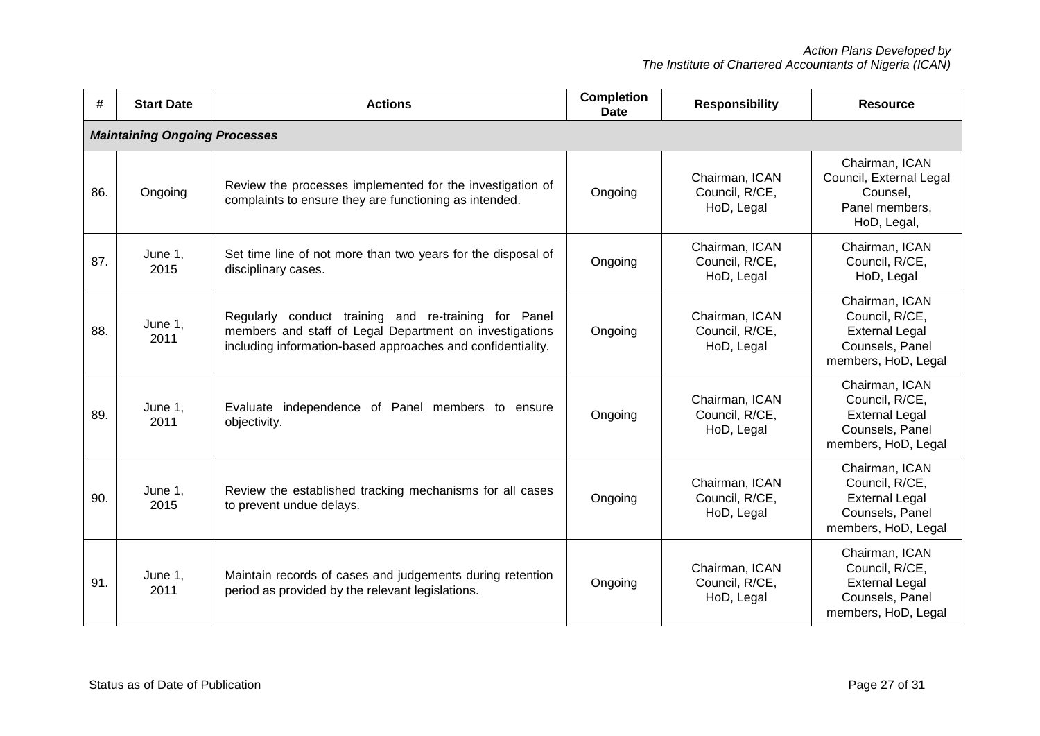| #   | <b>Start Date</b>                    | <b>Actions</b>                                                                                                                                                                 | <b>Completion</b><br><b>Date</b> | <b>Responsibility</b>                          | <b>Resource</b>                                                                                     |  |  |
|-----|--------------------------------------|--------------------------------------------------------------------------------------------------------------------------------------------------------------------------------|----------------------------------|------------------------------------------------|-----------------------------------------------------------------------------------------------------|--|--|
|     | <b>Maintaining Ongoing Processes</b> |                                                                                                                                                                                |                                  |                                                |                                                                                                     |  |  |
| 86. | Ongoing                              | Review the processes implemented for the investigation of<br>complaints to ensure they are functioning as intended.                                                            | Ongoing                          | Chairman, ICAN<br>Council, R/CE,<br>HoD, Legal | Chairman, ICAN<br>Council, External Legal<br>Counsel,<br>Panel members,<br>HoD, Legal,              |  |  |
| 87. | June 1.<br>2015                      | Set time line of not more than two years for the disposal of<br>disciplinary cases.                                                                                            | Ongoing                          | Chairman, ICAN<br>Council, R/CE,<br>HoD, Legal | Chairman, ICAN<br>Council, R/CE,<br>HoD, Legal                                                      |  |  |
| 88. | June 1,<br>2011                      | Regularly conduct training and re-training for Panel<br>members and staff of Legal Department on investigations<br>including information-based approaches and confidentiality. | Ongoing                          | Chairman, ICAN<br>Council, R/CE,<br>HoD, Legal | Chairman, ICAN<br>Council, R/CE,<br><b>External Legal</b><br>Counsels, Panel<br>members, HoD, Legal |  |  |
| 89. | June 1,<br>2011                      | Evaluate independence of Panel members to ensure<br>objectivity.                                                                                                               | Ongoing                          | Chairman, ICAN<br>Council, R/CE,<br>HoD, Legal | Chairman, ICAN<br>Council, R/CE,<br><b>External Legal</b><br>Counsels, Panel<br>members, HoD, Legal |  |  |
| 90. | June 1,<br>2015                      | Review the established tracking mechanisms for all cases<br>to prevent undue delays.                                                                                           | Ongoing                          | Chairman, ICAN<br>Council, R/CE,<br>HoD, Legal | Chairman, ICAN<br>Council, R/CE,<br><b>External Legal</b><br>Counsels, Panel<br>members, HoD, Legal |  |  |
| 91. | June 1,<br>2011                      | Maintain records of cases and judgements during retention<br>period as provided by the relevant legislations.                                                                  | Ongoing                          | Chairman, ICAN<br>Council, R/CE,<br>HoD, Legal | Chairman, ICAN<br>Council, R/CE,<br><b>External Legal</b><br>Counsels, Panel<br>members, HoD, Legal |  |  |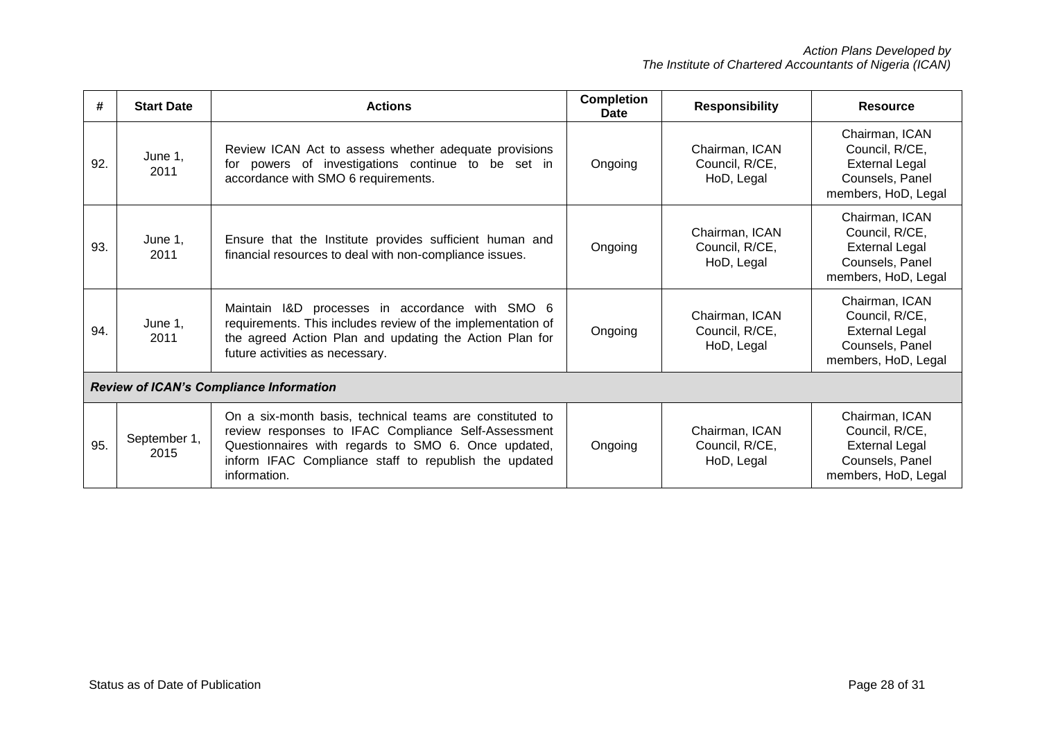| #                                              | <b>Start Date</b>    | <b>Actions</b>                                                                                                                                                                                                                                  | <b>Completion</b><br>Date | <b>Responsibility</b>                          | <b>Resource</b>                                                                                     |
|------------------------------------------------|----------------------|-------------------------------------------------------------------------------------------------------------------------------------------------------------------------------------------------------------------------------------------------|---------------------------|------------------------------------------------|-----------------------------------------------------------------------------------------------------|
| 92.                                            | June 1,<br>2011      | Review ICAN Act to assess whether adequate provisions<br>for powers of investigations continue to be set in<br>accordance with SMO 6 requirements.                                                                                              | Ongoing                   | Chairman, ICAN<br>Council, R/CE,<br>HoD, Legal | Chairman, ICAN<br>Council, R/CE,<br><b>External Legal</b><br>Counsels, Panel<br>members, HoD, Legal |
| 93.                                            | June 1,<br>2011      | Ensure that the Institute provides sufficient human and<br>financial resources to deal with non-compliance issues.                                                                                                                              | Ongoing                   | Chairman, ICAN<br>Council, R/CE,<br>HoD, Legal | Chairman, ICAN<br>Council, R/CE,<br><b>External Legal</b><br>Counsels, Panel<br>members, HoD, Legal |
| 94.                                            | June 1,<br>2011      | Maintain I&D processes in accordance with SMO 6<br>requirements. This includes review of the implementation of<br>the agreed Action Plan and updating the Action Plan for<br>future activities as necessary.                                    | Ongoing                   | Chairman, ICAN<br>Council, R/CE,<br>HoD, Legal | Chairman, ICAN<br>Council, R/CE,<br><b>External Legal</b><br>Counsels, Panel<br>members, HoD, Legal |
| <b>Review of ICAN's Compliance Information</b> |                      |                                                                                                                                                                                                                                                 |                           |                                                |                                                                                                     |
| 95.                                            | September 1,<br>2015 | On a six-month basis, technical teams are constituted to<br>review responses to IFAC Compliance Self-Assessment<br>Questionnaires with regards to SMO 6. Once updated,<br>inform IFAC Compliance staff to republish the updated<br>information. | Ongoing                   | Chairman, ICAN<br>Council, R/CE,<br>HoD, Legal | Chairman, ICAN<br>Council, R/CE,<br><b>External Legal</b><br>Counsels, Panel<br>members, HoD, Legal |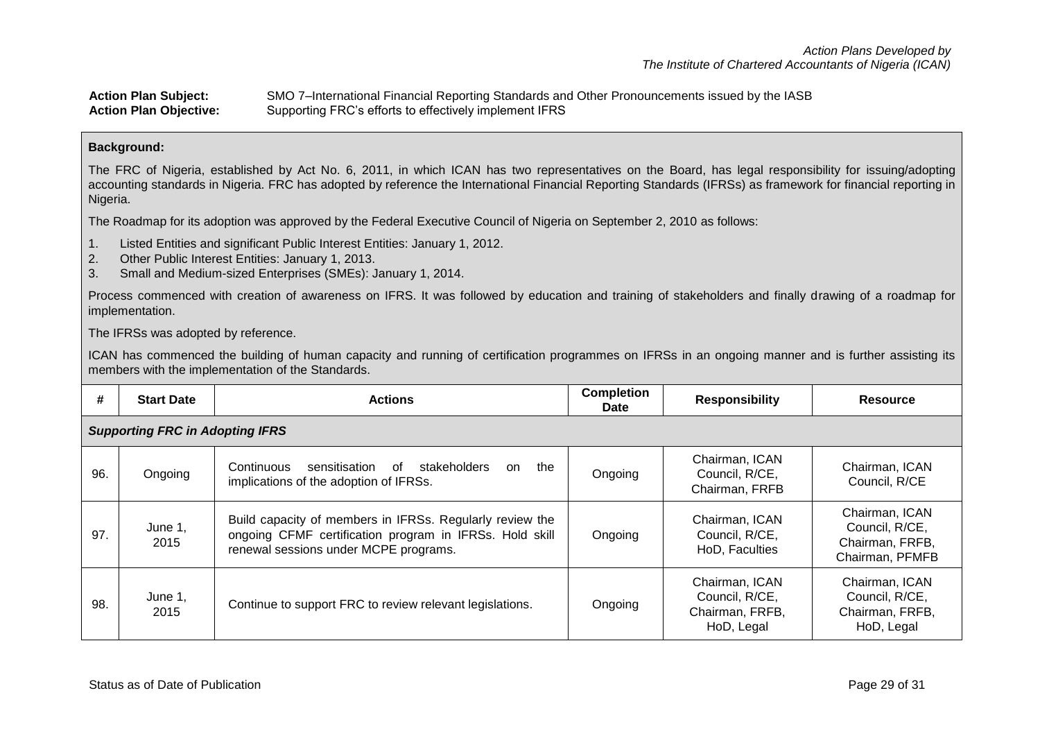| <b>Action Plan Subject:</b>   | SMO 7-International Financial Reporting Standards and Other Pronouncements issued by the IASB |
|-------------------------------|-----------------------------------------------------------------------------------------------|
| <b>Action Plan Objective:</b> | Supporting FRC's efforts to effectively implement IFRS                                        |

The FRC of Nigeria, established by Act No. 6, 2011, in which ICAN has two representatives on the Board, has legal responsibility for issuing/adopting accounting standards in Nigeria. FRC has adopted by reference the International Financial Reporting Standards (IFRSs) as framework for financial reporting in Nigeria.

The Roadmap for its adoption was approved by the Federal Executive Council of Nigeria on September 2, 2010 as follows:

- 1. Listed Entities and significant Public Interest Entities: January 1, 2012.
- 2. Other Public Interest Entities: January 1, 2013.
- 3. Small and Medium-sized Enterprises (SMEs): January 1, 2014.

Process commenced with creation of awareness on IFRS. It was followed by education and training of stakeholders and finally drawing of a roadmap for implementation.

The IFRSs was adopted by reference.

ICAN has commenced the building of human capacity and running of certification programmes on IFRSs in an ongoing manner and is further assisting its members with the implementation of the Standards.

| #   | <b>Start Date</b>                      | <b>Actions</b>                                                                                                                                               | <b>Completion</b><br>Date | <b>Responsibility</b>                                             | <b>Resource</b>                                                        |  |  |  |
|-----|----------------------------------------|--------------------------------------------------------------------------------------------------------------------------------------------------------------|---------------------------|-------------------------------------------------------------------|------------------------------------------------------------------------|--|--|--|
|     | <b>Supporting FRC in Adopting IFRS</b> |                                                                                                                                                              |                           |                                                                   |                                                                        |  |  |  |
| 96. | Ongoing                                | sensitisation<br>stakeholders<br>Continuous<br>of<br>the<br>on<br>implications of the adoption of IFRSs.                                                     | Ongoing                   | Chairman, ICAN<br>Council, R/CE,<br>Chairman, FRFB                | Chairman, ICAN<br>Council, R/CE                                        |  |  |  |
| 97. | June 1,<br>2015                        | Build capacity of members in IFRSs. Regularly review the<br>ongoing CFMF certification program in IFRSs. Hold skill<br>renewal sessions under MCPE programs. | Ongoing                   | Chairman, ICAN<br>Council, R/CE,<br>HoD, Faculties                | Chairman, ICAN<br>Council, R/CE,<br>Chairman, FRFB,<br>Chairman, PFMFB |  |  |  |
| 98. | June 1,<br>2015                        | Continue to support FRC to review relevant legislations.                                                                                                     | Ongoing                   | Chairman, ICAN<br>Council, R/CE,<br>Chairman, FRFB,<br>HoD, Legal | Chairman, ICAN<br>Council, R/CE,<br>Chairman, FRFB,<br>HoD, Legal      |  |  |  |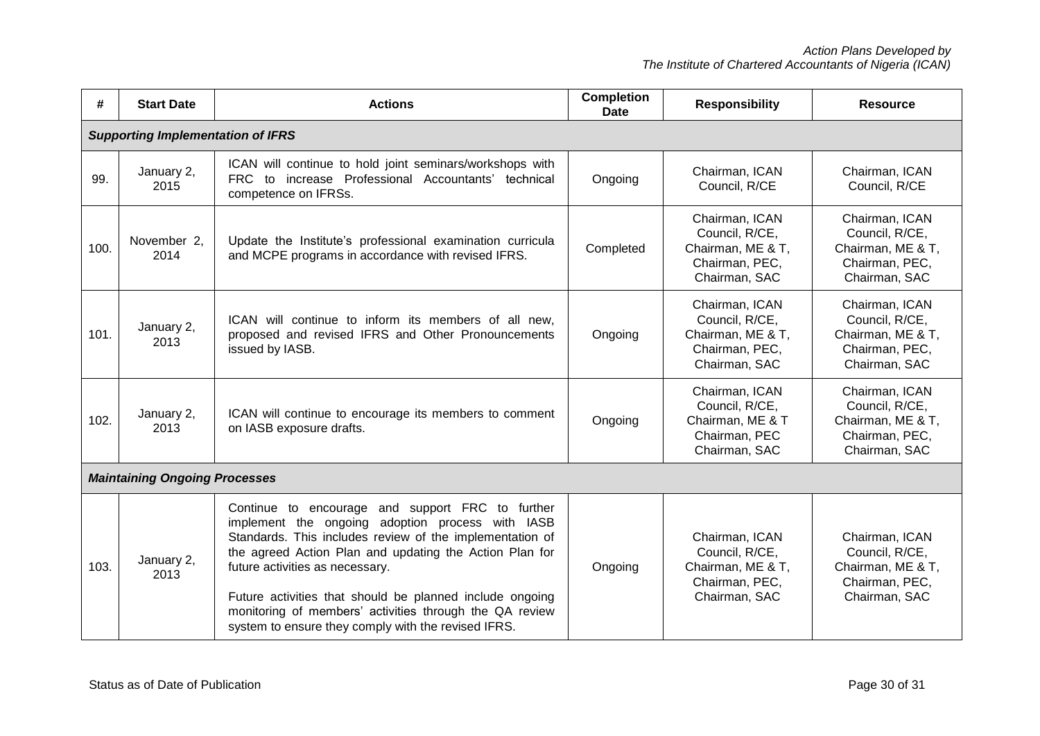| #    | <b>Start Date</b>                        | <b>Actions</b>                                                                                                                                                                                                                                                                                                                                                                                                                               | <b>Completion</b><br><b>Date</b> | <b>Responsibility</b>                                                                    | <b>Resource</b>                                                                          |
|------|------------------------------------------|----------------------------------------------------------------------------------------------------------------------------------------------------------------------------------------------------------------------------------------------------------------------------------------------------------------------------------------------------------------------------------------------------------------------------------------------|----------------------------------|------------------------------------------------------------------------------------------|------------------------------------------------------------------------------------------|
|      | <b>Supporting Implementation of IFRS</b> |                                                                                                                                                                                                                                                                                                                                                                                                                                              |                                  |                                                                                          |                                                                                          |
| 99.  | January 2,<br>2015                       | ICAN will continue to hold joint seminars/workshops with<br>FRC to increase Professional Accountants' technical<br>competence on IFRSs.                                                                                                                                                                                                                                                                                                      | Ongoing                          | Chairman, ICAN<br>Council, R/CE                                                          | Chairman, ICAN<br>Council, R/CE                                                          |
| 100. | November 2,<br>2014                      | Update the Institute's professional examination curricula<br>and MCPE programs in accordance with revised IFRS.                                                                                                                                                                                                                                                                                                                              | Completed                        | Chairman, ICAN<br>Council, R/CE,<br>Chairman, ME & T,<br>Chairman, PEC,<br>Chairman, SAC | Chairman, ICAN<br>Council, R/CE,<br>Chairman, ME & T,<br>Chairman, PEC,<br>Chairman, SAC |
| 101. | January 2,<br>2013                       | ICAN will continue to inform its members of all new,<br>proposed and revised IFRS and Other Pronouncements<br>issued by IASB.                                                                                                                                                                                                                                                                                                                | Ongoing                          | Chairman, ICAN<br>Council, R/CE,<br>Chairman, ME & T,<br>Chairman, PEC,<br>Chairman, SAC | Chairman, ICAN<br>Council, R/CE,<br>Chairman, ME & T,<br>Chairman, PEC,<br>Chairman, SAC |
| 102. | January 2,<br>2013                       | ICAN will continue to encourage its members to comment<br>on IASB exposure drafts.                                                                                                                                                                                                                                                                                                                                                           | Ongoing                          | Chairman, ICAN<br>Council, R/CE,<br>Chairman, ME & T<br>Chairman, PEC<br>Chairman, SAC   | Chairman, ICAN<br>Council, R/CE,<br>Chairman, ME & T,<br>Chairman, PEC,<br>Chairman, SAC |
|      | <b>Maintaining Ongoing Processes</b>     |                                                                                                                                                                                                                                                                                                                                                                                                                                              |                                  |                                                                                          |                                                                                          |
| 103. | January 2,<br>2013                       | Continue to encourage and support FRC to further<br>implement the ongoing adoption process with IASB<br>Standards. This includes review of the implementation of<br>the agreed Action Plan and updating the Action Plan for<br>future activities as necessary.<br>Future activities that should be planned include ongoing<br>monitoring of members' activities through the QA review<br>system to ensure they comply with the revised IFRS. | Ongoing                          | Chairman, ICAN<br>Council, R/CE,<br>Chairman, ME & T,<br>Chairman, PEC,<br>Chairman, SAC | Chairman, ICAN<br>Council, R/CE,<br>Chairman, ME & T,<br>Chairman, PEC,<br>Chairman, SAC |